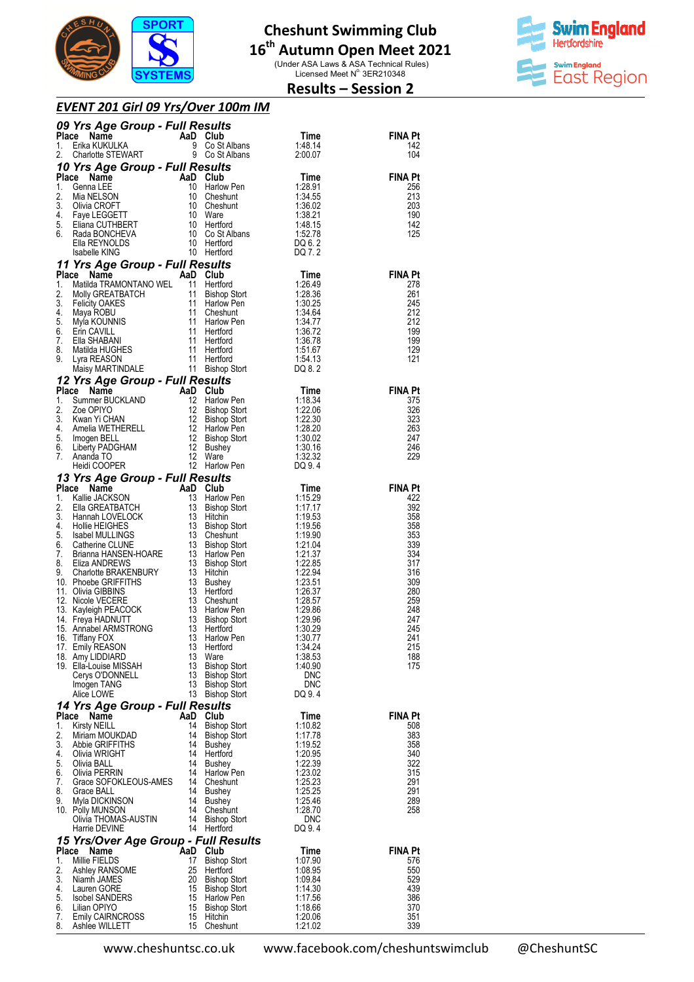

# **16 th Autumn Open Meet 2021**

(Under ASA Laws & ASA Technical Rules)<br>Licensed Meet N° 3ER210348



## **Results – Session 2**

| EVENT 201 Girl 09 Yrs/Over 100m IM |  |
|------------------------------------|--|
|------------------------------------|--|

|              | 09 Yrs Age Group - Full Results                                                                                                                                                                                                                                |          |                                                                                   |                                                                       |                       |
|--------------|----------------------------------------------------------------------------------------------------------------------------------------------------------------------------------------------------------------------------------------------------------------|----------|-----------------------------------------------------------------------------------|-----------------------------------------------------------------------|-----------------------|
| Place<br>1.  | <b>Ce Name Capacity AaD Club</b><br>Erika KUKULKA 9 Co St.<br>Charlotte STEWART 9 Co St.                                                                                                                                                                       |          | Time<br>9 Co St Albans<br>9 Co St Albans<br>9 Co St Albans<br>2:00.07<br>12:00.07 |                                                                       | <b>FINA Pt</b><br>142 |
| 2.           |                                                                                                                                                                                                                                                                |          |                                                                                   |                                                                       | 104                   |
|              | 10 Yrs Age Group - Full Results                                                                                                                                                                                                                                |          |                                                                                   |                                                                       |                       |
| Place        | <b>The Same Community of the Case of the COMPLANE CONSUMING CONSUMING CONSUMING CONSUMING CONSUMING CONSUMING CONSUMING CONSUMING CONSUMING CONSUMING CONSUMING CONSUMING CONSUMING CONSUMING CONSUMING CONSUMING CONSUMING CONS</b>                           |          |                                                                                   |                                                                       | <b>FINA Pt</b>        |
| 1.<br>2.     |                                                                                                                                                                                                                                                                |          |                                                                                   |                                                                       | 256<br>213            |
| 3.           |                                                                                                                                                                                                                                                                |          |                                                                                   |                                                                       | 203                   |
| 4.           |                                                                                                                                                                                                                                                                |          |                                                                                   |                                                                       | 190                   |
| 5.<br>6.     |                                                                                                                                                                                                                                                                |          |                                                                                   |                                                                       | 142<br>125            |
|              |                                                                                                                                                                                                                                                                |          |                                                                                   |                                                                       |                       |
|              |                                                                                                                                                                                                                                                                |          |                                                                                   |                                                                       |                       |
|              | 11 Yrs Age Group - Full Results                                                                                                                                                                                                                                |          |                                                                                   |                                                                       |                       |
| Place<br>1.  | Isabelle KING<br><b>Yrs Age Group - Full Results</b><br>ce Name<br>Matilda TRAMONTANO WEL 11 Hertford<br>Molly GREATBATCH 11 Bishop Stort<br>Fleity OAKES 11 Harlow Pen<br>Maya ROBU 11 Cheshunt<br>Mya KOUNNIS 11 Harlow Pen<br>Erin CAVILL 11 Her            |          |                                                                                   | Time                                                                  | <b>FINA Pt</b><br>278 |
| 2.           |                                                                                                                                                                                                                                                                |          |                                                                                   | 1:26.49<br>1:28.36                                                    | 261                   |
| 3.           |                                                                                                                                                                                                                                                                |          |                                                                                   | 1:30.25                                                               | 245                   |
| 4.<br>5.     |                                                                                                                                                                                                                                                                |          |                                                                                   |                                                                       | 212<br>212            |
| 6.           |                                                                                                                                                                                                                                                                |          |                                                                                   |                                                                       | 199                   |
| 7.           |                                                                                                                                                                                                                                                                |          |                                                                                   | $1:30.25$ $1:34.64$ $1:34.77$ $1:36.72$ $1:36.78$ $1:51.67$ $1:54.13$ | 199                   |
| 8.<br>9.     |                                                                                                                                                                                                                                                                |          |                                                                                   | 1:54.13                                                               | 129<br>121            |
|              |                                                                                                                                                                                                                                                                |          |                                                                                   | DQ 8.2                                                                |                       |
|              | Material Martin District Control of the Marine Buckland<br>1. Summer Buckland<br>1. Summer Buckland<br>1. Summer Buckland<br>1. Summer Buckland<br>1. Summer Buckland<br>1. Summer Summer Summer<br>1. Summer Summer Summer<br>1. Summer Summe                 |          |                                                                                   |                                                                       |                       |
|              |                                                                                                                                                                                                                                                                |          |                                                                                   | <b>Time</b>                                                           | <b>FINA Pt</b>        |
|              |                                                                                                                                                                                                                                                                |          |                                                                                   | 1:18.34                                                               | 375                   |
|              |                                                                                                                                                                                                                                                                |          |                                                                                   | $1:22.06$ $1:22.30$ $1:28.20$ $1:30.02$ $1:30.16$                     | 326<br>323            |
|              |                                                                                                                                                                                                                                                                |          |                                                                                   |                                                                       | 263                   |
|              |                                                                                                                                                                                                                                                                |          |                                                                                   |                                                                       | 247                   |
|              |                                                                                                                                                                                                                                                                |          |                                                                                   | 1:32.32                                                               | 246<br>229            |
|              |                                                                                                                                                                                                                                                                |          |                                                                                   | DQ 9.4                                                                |                       |
|              |                                                                                                                                                                                                                                                                |          |                                                                                   |                                                                       |                       |
|              | Heid: COOPER<br>12 Harlow Pen<br>12 Harlow Pen<br>12 Harlow Pen<br>12 Harlow Pen<br>13 <b>Yrs Age Group - Full Results</b><br>13 Bishop Stort<br>1:15.29<br>2. Ella GREATBATCH<br>13 Bishop Stort<br>1:11:17.17<br>3. Hollie HEIGHES<br>5. Isabel MULLINGS<br> |          |                                                                                   |                                                                       | <b>FINA Pt</b>        |
|              |                                                                                                                                                                                                                                                                |          |                                                                                   |                                                                       | 422<br>392            |
|              |                                                                                                                                                                                                                                                                |          |                                                                                   |                                                                       | 358                   |
|              |                                                                                                                                                                                                                                                                |          |                                                                                   |                                                                       | 358                   |
|              |                                                                                                                                                                                                                                                                |          |                                                                                   |                                                                       | 353<br>339            |
|              |                                                                                                                                                                                                                                                                |          |                                                                                   |                                                                       | 334                   |
|              |                                                                                                                                                                                                                                                                |          |                                                                                   |                                                                       | 317                   |
|              |                                                                                                                                                                                                                                                                |          |                                                                                   |                                                                       | 316<br>309            |
|              |                                                                                                                                                                                                                                                                |          |                                                                                   |                                                                       | 280                   |
|              |                                                                                                                                                                                                                                                                |          |                                                                                   |                                                                       | 259                   |
|              |                                                                                                                                                                                                                                                                |          |                                                                                   |                                                                       | 248<br>247            |
|              |                                                                                                                                                                                                                                                                |          |                                                                                   |                                                                       | 245                   |
|              |                                                                                                                                                                                                                                                                |          |                                                                                   |                                                                       | 241                   |
|              | 17. Emily REASON                                                                                                                                                                                                                                               | 13       | Hertford                                                                          | 1:34.24                                                               | 215                   |
|              | 18. Amy LIDDIARD<br>19. Ella-Louise MISSAH                                                                                                                                                                                                                     | 13<br>13 | Ware<br><b>Bishop Stort</b>                                                       | 1:38.53<br>1:40.90                                                    | 188<br>175            |
|              | Cerys O'DONNELL                                                                                                                                                                                                                                                | 13       | <b>Bishop Stort</b>                                                               | <b>DNC</b>                                                            |                       |
|              | Imogen TANG                                                                                                                                                                                                                                                    | 13<br>13 | <b>Bishop Stort</b>                                                               | <b>DNC</b>                                                            |                       |
|              | Alice LOWE<br>14 Yrs Age Group - Full Results                                                                                                                                                                                                                  |          | <b>Bishop Stort</b>                                                               | DQ 9.4                                                                |                       |
| <b>Place</b> | Name                                                                                                                                                                                                                                                           | AaD      | Club                                                                              | Time                                                                  | <b>FINA Pt</b>        |
| 1.           | <b>Kirsty NEILL</b>                                                                                                                                                                                                                                            | 14       | <b>Bishop Stort</b>                                                               | 1:10.82                                                               | 508                   |
| 2.<br>3.     | Miriam MOUKDAD                                                                                                                                                                                                                                                 | 14<br>14 | Bishop Stort                                                                      | 1:17.78                                                               | 383                   |
| 4.           | Abbie GRIFFITHS<br>Olivia WRIGHT                                                                                                                                                                                                                               | 14       | Bushey<br>Hertford                                                                | 1:19.52<br>1:20.95                                                    | 358<br>340            |
| 5.           | Olivia BALL                                                                                                                                                                                                                                                    | 14       | Bushey                                                                            | 1:22.39                                                               | 322                   |
| 6.           | Olivia PERRIN                                                                                                                                                                                                                                                  | 14       | Harlow Pen                                                                        | 1:23.02                                                               | 315                   |
| 7.<br>8.     | Grace SOFOKLEOUS-AMES<br>Grace BALL                                                                                                                                                                                                                            | 14<br>14 | Cheshunt<br>Bushey                                                                | 1:25.23<br>1:25.25                                                    | 291<br>291            |
| 9.           | Myla DICKINSON                                                                                                                                                                                                                                                 | 14       | Bushey                                                                            | 1:25.46                                                               | 289                   |
|              | 10. Polly MUNSON                                                                                                                                                                                                                                               | 14       | Cheshunt                                                                          | 1:28.70                                                               | 258                   |
|              | Olivia THOMAS-AUSTIN<br>Harrie DEVINE                                                                                                                                                                                                                          | 14       | <b>Bishop Stort</b><br>14 Hertford                                                | <b>DNC</b><br>DQ 9.4                                                  |                       |
|              | 15 Yrs/Over Age Group - Full Results                                                                                                                                                                                                                           |          |                                                                                   |                                                                       |                       |
| Place        | Name                                                                                                                                                                                                                                                           | AaD      | Club                                                                              | Time                                                                  | <b>FINA Pt</b>        |
| 1.           | Millie FIELDS                                                                                                                                                                                                                                                  | 17       | <b>Bishop Stort</b>                                                               | 1:07.90                                                               | 576                   |
| 2.<br>3.     | Ashley RANSOME<br>Niamh JAMES                                                                                                                                                                                                                                  | 25<br>20 | Hertford<br><b>Bishop Stort</b>                                                   | 1:08.95<br>1:09.84                                                    | 550<br>529            |
| 4.           | Lauren GORE                                                                                                                                                                                                                                                    | 15       | Bishop Stort                                                                      | 1:14.30                                                               | 439                   |
| 5.           | <b>Isobel SANDERS</b>                                                                                                                                                                                                                                          | 15       | Harlow Pen                                                                        | 1:17.56                                                               | 386                   |
| 6.<br>7.     | Lilian OPIYO<br><b>Emily CAIRNCROSS</b>                                                                                                                                                                                                                        | 15<br>15 | Bishop Stort<br>Hitchin                                                           | 1:18.66<br>1:20.06                                                    | 370<br>351            |
| 8.           | Ashlee WILLETT                                                                                                                                                                                                                                                 | 15       | Cheshunt                                                                          | 1:21.02                                                               | 339                   |

www.cheshuntsc.co.uk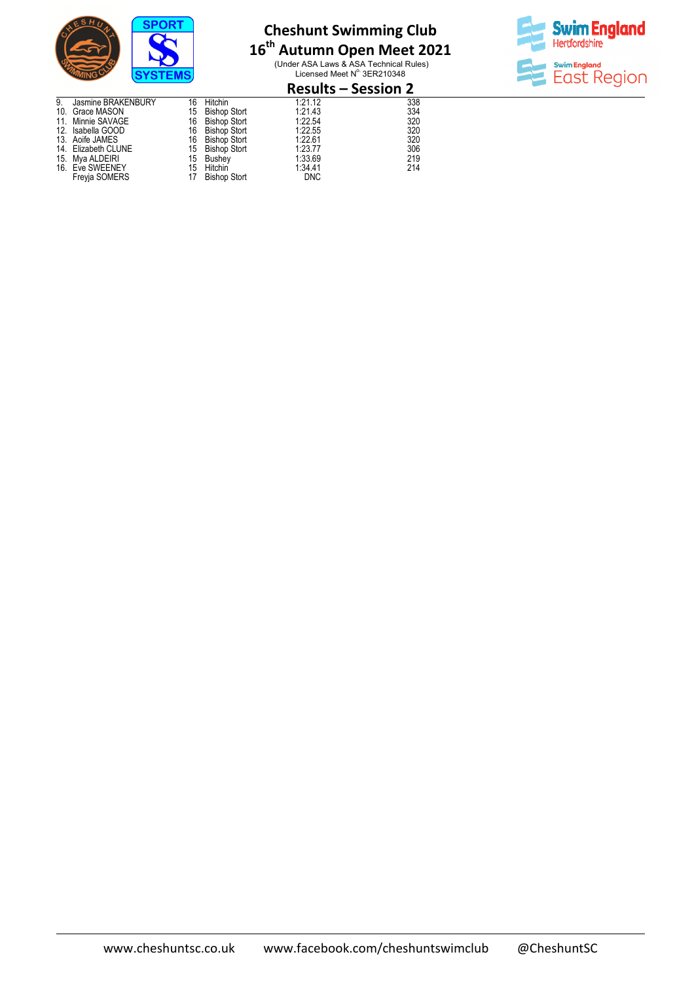

# **16 th Autumn Open Meet 2021**

(Under ASA Laws & ASA Technical Rules)<br>Licensed Meet N° 3ER210348



|    |                     |    |                     | <b>Results – Session 2</b> |     |
|----|---------------------|----|---------------------|----------------------------|-----|
| 9. | Jasmine BRAKENBURY  | 16 | Hitchin             | 1:21.12                    | 338 |
|    | 10. Grace MASON     | 15 | <b>Bishop Stort</b> | 1:21.43                    | 334 |
|    | 11. Minnie SAVAGE   | 16 | <b>Bishop Stort</b> | 1:22.54                    | 320 |
|    | 12. Isabella GOOD   | 16 | <b>Bishop Stort</b> | 1:22.55                    | 320 |
|    | 13. Aoife JAMES     | 16 | Bishop Stort        | 1:22.61                    | 320 |
|    | 14. Elizabeth CLUNE |    | 15 Bishop Stort     | 1:23.77                    | 306 |
|    | 15. Mya ALDEIRI     | 15 | Bushey              | 1:33.69                    | 219 |
|    | 16. Eve SWEENEY     |    | 15 Hitchin          | 1:34.41                    | 214 |
|    | Freyja SOMERS       | 17 | <b>Bishop Stort</b> | <b>DNC</b>                 |     |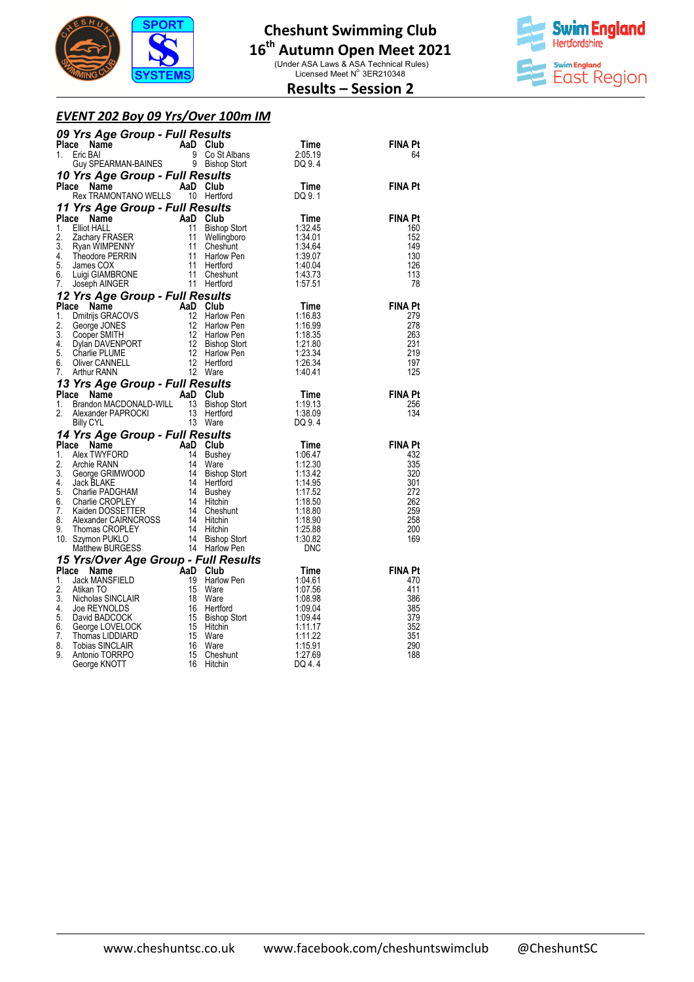

(Under ASA Laws & ASA Technical Rules)<br>Licensed Meet N° 3ER210348



## **Results – Session 2**

#### *EVENT 202 Boy 09 Yrs/Over 100m IM*

|    | 09 Yrs Age Group - Full Results                                                                                                                                                                                                                              |                                     |                                                               |                       |
|----|--------------------------------------------------------------------------------------------------------------------------------------------------------------------------------------------------------------------------------------------------------------|-------------------------------------|---------------------------------------------------------------|-----------------------|
|    | $\overrightarrow{AB}$ Club<br>Something the Map Club<br>Eric BAI 9 Co St Albans<br>Guy SPEARMAN-BAINES 9 Bishop Stort<br>Yrs Ane Group E-11<br>Place Name                                                                                                    |                                     | Time                                                          | FINA Pt               |
| 1. |                                                                                                                                                                                                                                                              |                                     | 2:05.19                                                       | 64                    |
|    |                                                                                                                                                                                                                                                              |                                     | DQ 9.4                                                        |                       |
|    | 10 Yrs Age Group - Full Results<br>Place Name Man AaD Club                                                                                                                                                                                                   |                                     |                                                               |                       |
|    | Le Name AaD Club<br>Rex TRAMONTANO WELLS 10 Hertford<br>Place                                                                                                                                                                                                |                                     | <b>Time</b>                                                   | <b>FINA Pt</b>        |
|    |                                                                                                                                                                                                                                                              |                                     | DQ 9.1                                                        |                       |
|    | 11 Yrs Age Group - Full Results                                                                                                                                                                                                                              |                                     |                                                               |                       |
|    | Place Name<br>The Champion of the Mappins Club<br>Elliot HALL 2. The Mapp Stort<br>Elliot HALL 2. The Mapp Stort<br>Theodore PERRIN 11 Cheshunt<br>James COX 11 Harlow Pen<br>James COX 11 Hertford<br>Luigi GIAMBRONE 11 Cheshunt<br>Joseph ANGER 11 Hert   |                                     | <b>Time</b>                                                   | <b>FINA Pt</b>        |
| 1. |                                                                                                                                                                                                                                                              |                                     | 1:32.45                                                       | 160                   |
| 2. |                                                                                                                                                                                                                                                              |                                     | 1:34.01                                                       | 152                   |
| 3. |                                                                                                                                                                                                                                                              |                                     | 1.3464                                                        | 149                   |
| 4. |                                                                                                                                                                                                                                                              |                                     |                                                               | 130                   |
| 5. |                                                                                                                                                                                                                                                              |                                     | $1.\overline{39.07}$<br>$1.40.04$<br>$1.43.73$                | 126                   |
| 6. |                                                                                                                                                                                                                                                              |                                     |                                                               | 113                   |
| 7. |                                                                                                                                                                                                                                                              |                                     | 1:57.51                                                       | 78                    |
|    | 7. Joseph AINGER<br><b>12 Yrs Age Group - Full Results</b><br><b>12 Yrs Age Group - Full Results</b><br>1. Dimitig GRACOVS<br>12 Harlow Pen<br>2. George JONES<br>2. George JONES<br>3. Cooper SMITH<br>4. Dylan DAVENPORT<br>5. Charlie PLUME<br>5. Charlie |                                     |                                                               |                       |
|    |                                                                                                                                                                                                                                                              |                                     | Time                                                          | <b>FINA Pt</b>        |
|    |                                                                                                                                                                                                                                                              |                                     | 1:16.83                                                       | 279                   |
|    |                                                                                                                                                                                                                                                              |                                     | 1:16.99                                                       | 278                   |
|    |                                                                                                                                                                                                                                                              |                                     |                                                               | 263                   |
|    |                                                                                                                                                                                                                                                              |                                     |                                                               | 231                   |
|    |                                                                                                                                                                                                                                                              |                                     | $1:10.35$<br>$1:21.80$<br>$1:23.34$<br>$1:26.34$<br>$4:40.44$ | 219<br>197            |
|    |                                                                                                                                                                                                                                                              |                                     | 1:40.41                                                       | 125                   |
|    | 12 Ware<br><b>13 Yrs Age Group - Full Results<br/>Place Name AaD Club<br/>1. Brandon MACDONALD DAMLL AREA CLUB</b>                                                                                                                                           |                                     |                                                               |                       |
|    |                                                                                                                                                                                                                                                              |                                     |                                                               |                       |
|    |                                                                                                                                                                                                                                                              |                                     | <b>Time</b>                                                   | <b>FINA Pt</b>        |
| 2. |                                                                                                                                                                                                                                                              |                                     |                                                               | 256<br>134            |
|    | 2 Name AaD Club<br>Brandon MACDONALD-WILL 13 Bishop Stort 1:19.13<br>Alexander PAPROCKI 13 Hertford 1:38.09<br>Pilly CYI 13 Ware DQ 9.4<br>Brandon MAUDUNALL<br>Alexander PAPROCKI 13 Hertto<br>13 Ware                                                      |                                     |                                                               |                       |
|    |                                                                                                                                                                                                                                                              |                                     |                                                               |                       |
|    |                                                                                                                                                                                                                                                              |                                     |                                                               | <b>FINA Pt</b>        |
|    |                                                                                                                                                                                                                                                              |                                     |                                                               | 432                   |
|    |                                                                                                                                                                                                                                                              |                                     |                                                               | 335                   |
|    |                                                                                                                                                                                                                                                              |                                     |                                                               | 320                   |
|    |                                                                                                                                                                                                                                                              |                                     |                                                               | 301                   |
|    |                                                                                                                                                                                                                                                              |                                     |                                                               | 272                   |
|    |                                                                                                                                                                                                                                                              |                                     |                                                               | 262                   |
|    |                                                                                                                                                                                                                                                              |                                     |                                                               | 259                   |
|    |                                                                                                                                                                                                                                                              |                                     |                                                               | 258                   |
|    |                                                                                                                                                                                                                                                              |                                     |                                                               | 200                   |
|    |                                                                                                                                                                                                                                                              |                                     |                                                               | 169                   |
|    |                                                                                                                                                                                                                                                              |                                     |                                                               |                       |
|    |                                                                                                                                                                                                                                                              |                                     |                                                               |                       |
|    |                                                                                                                                                                                                                                                              |                                     |                                                               | <b>FINA Pt</b><br>470 |
|    |                                                                                                                                                                                                                                                              |                                     |                                                               | 411                   |
|    |                                                                                                                                                                                                                                                              |                                     |                                                               | 386                   |
|    |                                                                                                                                                                                                                                                              |                                     |                                                               | 385                   |
|    |                                                                                                                                                                                                                                                              |                                     |                                                               | 379                   |
|    |                                                                                                                                                                                                                                                              |                                     |                                                               | 352                   |
|    |                                                                                                                                                                                                                                                              |                                     |                                                               | 351                   |
|    | 2. Arekanter FRENCON 113 Wave<br>14 Yrs Age Group - Full Results<br>2. Archie RANN 14 Bushey<br>2. Archie RANN 14 Bushey<br>2. Archie RANN 14 Bushey<br>2. Archie RANN 14 Bushey<br>3. George GRIMWOOD 14 Hirtford<br>4. Jack BLAKE<br>5. Char               | Mare<br>Ware<br>Cheshunt<br>Hitchin |                                                               | 290                   |
|    |                                                                                                                                                                                                                                                              |                                     |                                                               | 188                   |
|    |                                                                                                                                                                                                                                                              |                                     |                                                               |                       |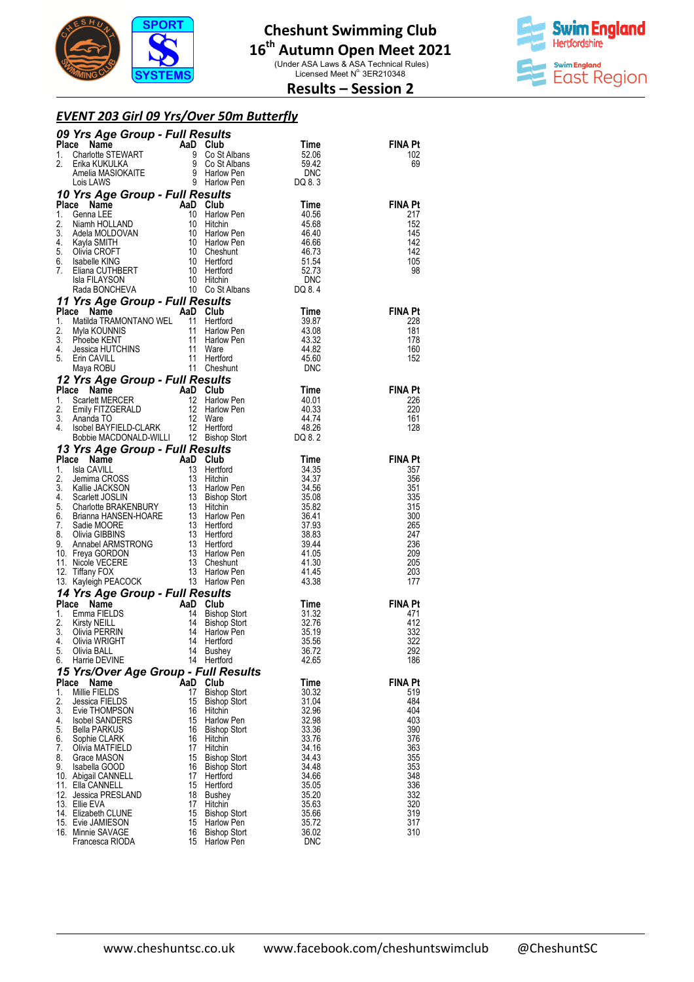

# **16 th Autumn Open Meet 2021 Cheshunt Swimming Club**  (Under ASA Laws & ASA Technical Rules)<br>Licensed Meet N° 3ER210348



## **Results – Session 2**

### *EVENT 203 Girl 09 Yrs/Over 50m Butterfly*

|                    | <b>09 Yrs Age Group - Full Results<br/> Place Name<br/> 1. Charlotte STEWART 9 Co St Albans 52.06<br/> 2. Erika KUKULKA 9 Co St Albans 59.42<br/> Amelia MASIOKAITE 9 Harlow Pen DINC<br/> Lois LAWS 9 Harlow Pen DQ 8.3<br/> <math>\frac{9}{2}</math> Harlow Pen DQ 8.</b> |          |                                   |                |                       |
|--------------------|-----------------------------------------------------------------------------------------------------------------------------------------------------------------------------------------------------------------------------------------------------------------------------|----------|-----------------------------------|----------------|-----------------------|
|                    |                                                                                                                                                                                                                                                                             |          |                                   |                | <b>FINA Pt</b>        |
|                    |                                                                                                                                                                                                                                                                             |          |                                   |                | 102<br>69             |
|                    |                                                                                                                                                                                                                                                                             |          |                                   |                |                       |
|                    |                                                                                                                                                                                                                                                                             |          |                                   |                |                       |
|                    | <b>10 Yrs Age Group - Full Results</b><br><b>Place Name AaD Club</b><br>1. Genna LEE 10 Harlow Pen<br>2. Niamh HOLLAND 10 Hitchin 45.68<br>3. Adela MOLDOVAN 10 Harlow Pen<br>5. Clivia CROFT 10 Cheshunt 46.67<br>5. Clivia CROFT 10 Cheshunt 46.73                        |          |                                   |                |                       |
|                    |                                                                                                                                                                                                                                                                             |          |                                   |                | <b>FINA Pt</b>        |
|                    |                                                                                                                                                                                                                                                                             |          |                                   |                | 217<br>152            |
|                    |                                                                                                                                                                                                                                                                             |          |                                   |                | 145                   |
|                    |                                                                                                                                                                                                                                                                             |          |                                   |                | 142                   |
|                    |                                                                                                                                                                                                                                                                             |          |                                   |                | 142                   |
|                    |                                                                                                                                                                                                                                                                             |          |                                   |                | 105<br>98             |
|                    |                                                                                                                                                                                                                                                                             |          |                                   |                |                       |
|                    |                                                                                                                                                                                                                                                                             |          |                                   |                |                       |
|                    | Sa Fil.AYSON<br>Place Name HANSEN 10 Hitchinn<br>PLACE COMP - FUII Results<br>The Constanting 10 Cost Albans<br>11 Yrs Age Group - FuII Results<br>11 Hentford<br>11 Hentford<br>11 Hentford<br>11 Hentford<br>11 Hentford<br>11 Hentford<br>4. Jess                        |          |                                   |                |                       |
|                    |                                                                                                                                                                                                                                                                             |          |                                   |                | <b>FINA Pt</b>        |
|                    |                                                                                                                                                                                                                                                                             |          |                                   |                | 228<br>181            |
|                    |                                                                                                                                                                                                                                                                             |          |                                   |                | 178                   |
|                    |                                                                                                                                                                                                                                                                             |          |                                   |                | 160                   |
|                    |                                                                                                                                                                                                                                                                             |          |                                   |                | 152                   |
|                    |                                                                                                                                                                                                                                                                             |          |                                   |                |                       |
|                    |                                                                                                                                                                                                                                                                             |          |                                   |                | <b>FINA Pt</b>        |
|                    |                                                                                                                                                                                                                                                                             |          |                                   |                | 226                   |
|                    |                                                                                                                                                                                                                                                                             |          |                                   |                | 220                   |
|                    |                                                                                                                                                                                                                                                                             |          |                                   |                | 161                   |
|                    |                                                                                                                                                                                                                                                                             |          |                                   |                | 128                   |
|                    |                                                                                                                                                                                                                                                                             |          |                                   |                |                       |
|                    |                                                                                                                                                                                                                                                                             |          |                                   |                | <b>FINA Pt</b>        |
|                    |                                                                                                                                                                                                                                                                             |          |                                   |                | 357                   |
|                    |                                                                                                                                                                                                                                                                             |          |                                   |                | 356<br>351            |
|                    |                                                                                                                                                                                                                                                                             |          |                                   |                | 335                   |
|                    |                                                                                                                                                                                                                                                                             |          |                                   |                | 315                   |
|                    |                                                                                                                                                                                                                                                                             |          |                                   |                | 300                   |
|                    |                                                                                                                                                                                                                                                                             |          |                                   |                | 265<br>247            |
|                    |                                                                                                                                                                                                                                                                             |          |                                   |                | 236                   |
|                    |                                                                                                                                                                                                                                                                             |          |                                   |                | 209                   |
|                    |                                                                                                                                                                                                                                                                             |          |                                   |                | 205                   |
|                    |                                                                                                                                                                                                                                                                             |          |                                   |                | 203<br>177            |
|                    | 14 Yrs Age Group - Full Results                                                                                                                                                                                                                                             |          |                                   |                |                       |
| Place              | <b>4 Yrs Age Group - Full Results<br/> ace Name AaD Club Time<br/> Emma FIELDS 14 Bishop Stort 31.32<br/> Kirsty NEILL 14 Bishop Stort 32.76<br/> Olivia MRIGHT 14 Harlfow Pen<br/> Olivia WRIGHT 14 Hertford 35.59<br/> Olivia WRIGHT 14 Hertford 35.5</b>                 |          |                                   |                | <b>FINA Pt</b>        |
| 1.                 |                                                                                                                                                                                                                                                                             |          |                                   |                | 471                   |
| 2.                 |                                                                                                                                                                                                                                                                             |          |                                   |                | 412                   |
| 3.<br>4.           |                                                                                                                                                                                                                                                                             |          |                                   |                | 332<br>322            |
| 5.                 | Olivia BALL                                                                                                                                                                                                                                                                 |          | 14 Bushey                         | 36.72          | 292                   |
| 6.                 | Harrie DEVINE                                                                                                                                                                                                                                                               |          | 14 Hertford                       | 42.65          | 186                   |
|                    | 15 Yrs/Over Age Group - Full Results                                                                                                                                                                                                                                        |          |                                   |                |                       |
| <b>Place</b><br>1. | Name<br>AaD<br>Millie FIELDS                                                                                                                                                                                                                                                | 17       | Club<br><b>Bishop Stort</b>       | Time<br>30.32  | <b>FINA Pt</b><br>519 |
| 2.                 | Jessica FIELDS                                                                                                                                                                                                                                                              | 15       | <b>Bishop Stort</b>               | 31.04          | 484                   |
| 3.                 | Evie THOMPSON                                                                                                                                                                                                                                                               | 16       | Hitchin                           | 32.96          | 404                   |
| 4.                 | <b>Isobel SANDERS</b>                                                                                                                                                                                                                                                       | 15       | Harlow Pen                        | 32.98          | 403                   |
| 5.<br>6.           | <b>Bella PARKUS</b><br>Sophie CLARK                                                                                                                                                                                                                                         | 16<br>16 | <b>Bishop Stort</b><br>Hitchin    | 33.36<br>33.76 | 390<br>376            |
| 7.                 | Olivia MATFIELD                                                                                                                                                                                                                                                             | 17       | Hitchin                           | 34.16          | 363                   |
| 8.                 | Grace MASON                                                                                                                                                                                                                                                                 | 15       | <b>Bishop Stort</b>               | 34.43          | 355                   |
| 9.                 | Isabella GOOD                                                                                                                                                                                                                                                               | 16<br>17 | <b>Bishop Stort</b>               | 34.48          | 353                   |
|                    | 10. Abigail CANNELL<br>11. Ella CANNELL                                                                                                                                                                                                                                     | 15       | Hertford<br>Hertford              | 34.66<br>35.05 | 348<br>336            |
|                    | 12. Jessica PRESLAND                                                                                                                                                                                                                                                        | 18       | <b>Bushey</b>                     | 35.20          | 332                   |
|                    | 13. Ellie EVA                                                                                                                                                                                                                                                               | 17       | Hitchin                           | 35.63          | 320                   |
|                    | 14. Elizabeth CLUNE<br>15. Evie JAMIESON                                                                                                                                                                                                                                    | 15<br>15 | <b>Bishop Stort</b>               | 35.66          | 319<br>317            |
|                    | 16. Minnie SAVAGE                                                                                                                                                                                                                                                           | 16       | Harlow Pen<br><b>Bishop Stort</b> | 35.72<br>36.02 | 310                   |
|                    | Francesca RIODA                                                                                                                                                                                                                                                             | 15       | Harlow Pen                        | <b>DNC</b>     |                       |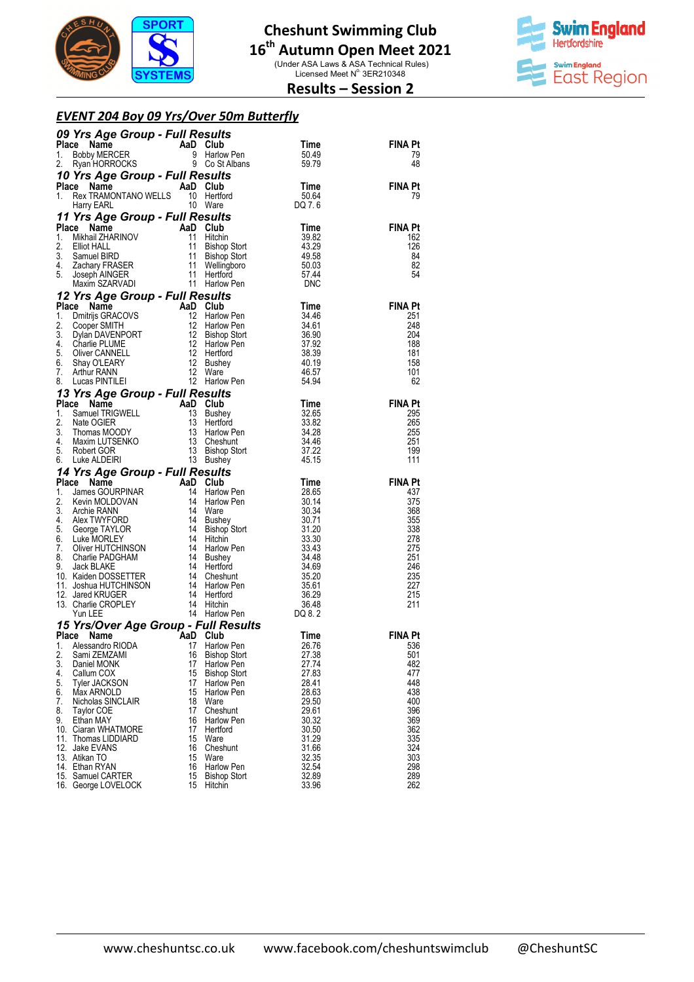

(Under ASA Laws & ASA Technical Rules)<br>Licensed Meet N° 3ER210348



## **Results – Session 2**

### *EVENT 204 Boy 09 Yrs/Over 50m Butterf Butterfly*

|          | <b>09 Yrs Age Group - Full Results<br/>Place Name AaD Club<br/>1. Bobby MERCER 9 Harlow Pen<br/>2. Ryan HORROCKS 9 Co St Albans</b>                                                                                                                                                          |          |                     | Time           | <b>FINA Pt</b>        |
|----------|----------------------------------------------------------------------------------------------------------------------------------------------------------------------------------------------------------------------------------------------------------------------------------------------|----------|---------------------|----------------|-----------------------|
|          |                                                                                                                                                                                                                                                                                              |          |                     | 50.49          | 79                    |
|          |                                                                                                                                                                                                                                                                                              |          |                     | 59.79          | 48                    |
|          | <b>10 Yrs Age Group - Full Results<br/> Place Name AaD Club Time<br/> 1. Rex TRAMONTANO WELLS 10 Hertford 50.64<br/> Harry EARL 10 Ware DQ 7.6</b>                                                                                                                                           |          |                     |                |                       |
|          |                                                                                                                                                                                                                                                                                              |          |                     |                | <b>FINA Pt</b>        |
|          |                                                                                                                                                                                                                                                                                              |          |                     |                | 79                    |
|          |                                                                                                                                                                                                                                                                                              |          |                     |                |                       |
|          | <b>11 Yrs Age Group - Full Results<br/> Place Name And Club<br/> 1. Mikhail ZHARINOV 11 Hitchin<br/> 2. Elliot HALL 11 Bishop Stort<br/> 3. Samuel BIRD 11 Bishop Stort<br/> 4. Zachary FRASER 11 Wellingbooth<br/> 5. Joseph AINGER 11 Hertford<br/> Maxim </b>                             |          |                     |                |                       |
|          |                                                                                                                                                                                                                                                                                              |          |                     | Time<br>39.82  | <b>FINA Pt</b><br>162 |
|          |                                                                                                                                                                                                                                                                                              |          |                     | 43.29          | 126                   |
|          |                                                                                                                                                                                                                                                                                              |          |                     | 49.58          | 84                    |
|          |                                                                                                                                                                                                                                                                                              |          |                     | 50.03<br>57.44 | 82                    |
|          |                                                                                                                                                                                                                                                                                              |          |                     |                | 54                    |
|          |                                                                                                                                                                                                                                                                                              |          |                     | <b>DNC</b>     |                       |
|          | 12 Yrs Age Group - Full Results<br><b>12 Yrs Age Group - Full Results</b><br>1. Dmitrijs GRACOVS<br>12 Harlow Pen<br>3. Cooper SMITH<br>3. Dylan DAVENPORT<br>12 Harlow Pen<br>3. Dylan DAVENPORT<br>4. Charlie PLUME<br>4. Charlie PLUME<br>5. Oliver CANNELL<br>7. Arthur RANN<br>7. Arthu |          |                     |                |                       |
|          |                                                                                                                                                                                                                                                                                              |          |                     |                | <b>FINA Pt</b><br>251 |
|          |                                                                                                                                                                                                                                                                                              |          |                     |                | 248                   |
|          |                                                                                                                                                                                                                                                                                              |          |                     |                | 204                   |
|          |                                                                                                                                                                                                                                                                                              |          |                     |                | 188                   |
|          |                                                                                                                                                                                                                                                                                              |          |                     |                | 181                   |
|          |                                                                                                                                                                                                                                                                                              |          |                     |                | 158<br>101            |
|          |                                                                                                                                                                                                                                                                                              |          |                     |                | 62                    |
|          | 8. Lucas FINTILET <b>Age Group - Full Results</b><br><b>13 Yrs Age Group - Full Results</b><br><b>1.</b> Samuel TRIGWELL 13 Bushey 32.65<br>2. Nate OGIER 13 Hertford 33.82<br>3. Thomas MOODY 13 Harlow Pen 34.28<br>4. Maxim LUTSENKO 13 Bushey Stort                                      |          |                     |                |                       |
|          |                                                                                                                                                                                                                                                                                              |          |                     |                | <b>FINA Pt</b>        |
|          |                                                                                                                                                                                                                                                                                              |          |                     |                | 295                   |
|          |                                                                                                                                                                                                                                                                                              |          |                     |                | 265                   |
|          |                                                                                                                                                                                                                                                                                              |          |                     |                | 255                   |
|          |                                                                                                                                                                                                                                                                                              |          |                     |                | 251<br>199            |
|          |                                                                                                                                                                                                                                                                                              |          |                     |                | 111                   |
|          |                                                                                                                                                                                                                                                                                              |          |                     |                |                       |
|          |                                                                                                                                                                                                                                                                                              |          |                     |                | <b>FINA Pt</b>        |
|          |                                                                                                                                                                                                                                                                                              |          |                     |                | 437                   |
|          |                                                                                                                                                                                                                                                                                              |          |                     |                | 375                   |
|          |                                                                                                                                                                                                                                                                                              |          |                     |                | 368                   |
|          |                                                                                                                                                                                                                                                                                              |          |                     |                | 355<br>338            |
|          |                                                                                                                                                                                                                                                                                              |          |                     |                | 278                   |
|          |                                                                                                                                                                                                                                                                                              |          |                     |                | 275                   |
|          |                                                                                                                                                                                                                                                                                              |          |                     |                | 251                   |
|          |                                                                                                                                                                                                                                                                                              |          |                     |                | 246<br>235            |
|          |                                                                                                                                                                                                                                                                                              |          |                     |                | 227                   |
|          |                                                                                                                                                                                                                                                                                              |          |                     |                | 215                   |
|          |                                                                                                                                                                                                                                                                                              |          |                     |                | 211                   |
|          | 6. Luke ALDEIRI 13 Bushey 45.15<br>14 Yrs Age Group - Full Results<br>13 Bushey 45.15<br>14 Yrs Age Group - Full Results<br>13 Bushey 45.15<br>14 Ware 20URPINAR 14 Harlow Pen 30.14<br>2. Kevin MOLDOVAN 14 Ware 30.34<br>4. Alex TWYFORD 1                                                 |          |                     |                |                       |
|          |                                                                                                                                                                                                                                                                                              |          |                     |                |                       |
|          | 1. Alessandro RIODA 17 Harlow Pen 26.76                                                                                                                                                                                                                                                      |          |                     |                | <b>FINA Pt</b>        |
| 2.       | Sami ZEMZAMI                                                                                                                                                                                                                                                                                 | 16       | <b>Bishop Stort</b> | 27.38          | 536<br>501            |
| 3.       | Daniel MONK                                                                                                                                                                                                                                                                                  | 17       | Harlow Pen          | 27.74          | 482                   |
| 4.       | Callum COX                                                                                                                                                                                                                                                                                   | 15       | <b>Bishop Stort</b> | 27.83          | 477                   |
| 5.       | <b>Tyler JACKSON</b>                                                                                                                                                                                                                                                                         | 17       | Harlow Pen          | 28.41          | 448                   |
| 6.<br>7. | Max ARNOLD<br>Nicholas SINCLAIR                                                                                                                                                                                                                                                              | 15<br>18 | Harlow Pen<br>Ware  | 28.63<br>29.50 | 438<br>400            |
| 8.       | Taylor COE                                                                                                                                                                                                                                                                                   | 17       | Cheshunt            | 29.61          | 396                   |
| 9.       | Ethan MAY                                                                                                                                                                                                                                                                                    | 16       | Harlow Pen          | 30.32          | 369                   |
|          | 10. Ciaran WHATMORE                                                                                                                                                                                                                                                                          | 17       | Hertford            | 30.50          | 362                   |
|          | 11. Thomas LIDDIARD                                                                                                                                                                                                                                                                          | 15       | Ware                | 31.29          | 335                   |
|          | 12. Jake EVANS                                                                                                                                                                                                                                                                               | 16<br>15 | Cheshunt            | 31.66          | 324                   |
|          | 13. Atikan TO<br>14. Ethan RYAN                                                                                                                                                                                                                                                              | 16       | Ware<br>Harlow Pen  | 32.35<br>32.54 | 303<br>298            |
|          | 15. Samuel CARTER                                                                                                                                                                                                                                                                            | 15       | <b>Bishop Stort</b> | 32.89          | 289                   |
|          | 16. George LOVELOCK                                                                                                                                                                                                                                                                          | 15       | Hitchin             | 33.96          | 262                   |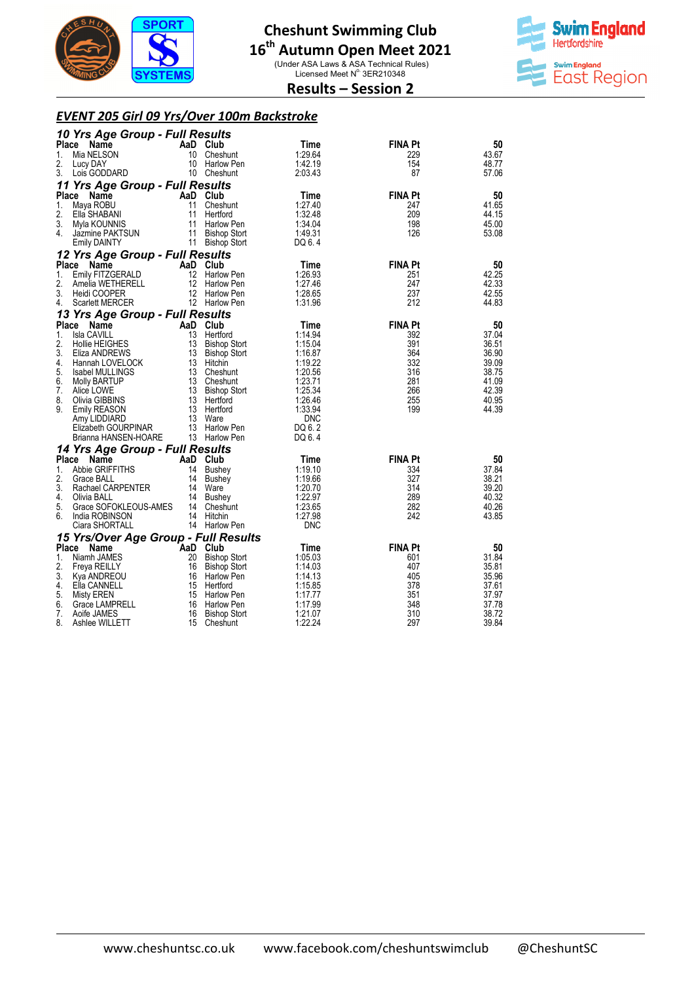

(Under ASA Laws & ASA Technical Rules)<br>Licensed Meet N° 3ER210348



**Results – Session 2** 

## *EVENT 205 Girl 09 Yrs/Over 100m Backstroke*

|              | 10 Yrs Age Group - Full Results         |          |                                        |                      |                |                |
|--------------|-----------------------------------------|----------|----------------------------------------|----------------------|----------------|----------------|
| <b>Place</b> | Name                                    |          | AaD Club                               | Time                 | <b>FINA Pt</b> | 50             |
| 1.           | Mia NELSON                              | 10       | Cheshunt                               | 1:29.64              | 229            | 43.67          |
| 2.           | Lucy DAY                                | 10       | Harlow Pen                             | 1:42.19              | 154            | 48.77          |
| 3.           | Lois GODDARD                            | 10       | Cheshunt                               | 2:03.43              | 87             | 57.06          |
|              | 11 Yrs Age Group - Full Results         |          |                                        |                      |                |                |
| <b>Place</b> | Name                                    |          | AaD Club                               | Time                 | <b>FINA Pt</b> | 50             |
| 1.<br>2.     | Maya ROBU<br>Ella SHABANI               | 11<br>11 | Cheshunt<br>Hertford                   | 1:27.40<br>1:32.48   | 247<br>209     | 41.65<br>44.15 |
| 3.           | Myla KOUNNIS                            | 11       | <b>Harlow Pen</b>                      | 1:34.04              | 198            | 45.00          |
| 4.           | Jazmine PAKTSUN                         | 11       | <b>Bishop Stort</b>                    | 1:49.31              | 126            | 53.08          |
|              | <b>Emily DAINTY</b>                     | 11       | <b>Bishop Stort</b>                    | DQ 6.4               |                |                |
|              | 12 Yrs Age Group - Full Results         |          |                                        |                      |                |                |
| <b>Place</b> | Name                                    |          | AaD Club                               | Time                 | <b>FINA Pt</b> | 50             |
| 1.           | Emily FITZGERALD                        | 12       | Harlow Pen                             | 1:26.93              | 251            | 42.25          |
| 2.           | Amelia WETHERELL                        | 12       | Harlow Pen                             | 1:27.46              | 247            | 42.33          |
| 3.           | Heidi COOPER                            | 12       | <b>Harlow Pen</b>                      | 1:28.65              | 237            | 42.55          |
| 4.           | <b>Scarlett MERCER</b>                  |          | 12 Harlow Pen                          | 1:31.96              | 212            | 44.83          |
|              | 13 Yrs Age Group - Full Results         |          |                                        |                      |                |                |
| <b>Place</b> | Name                                    |          | AaD Club                               | Time                 | <b>FINA Pt</b> | 50             |
| 1.<br>2.     | Isla CAVILL<br>Hollie HEIGHES           | 13<br>13 | Hertford                               | 1:14.94<br>1:15.04   | 392<br>391     | 37.04<br>36.51 |
| 3.           | Eliza ANDREWS                           |          | <b>Bishop Stort</b><br>13 Bishop Stort | 1:16.87              | 364            | 36.90          |
| 4.           | Hannah LOVELOCK                         |          | 13 Hitchin                             | 1:19.22              | 332            | 39.09          |
| 5.           | Isabel MULLINGS                         |          | 13 Cheshunt                            | 1:20.56              | 316            | 38.75          |
| 6.           | Molly BARTUP                            |          | 13 Cheshunt                            | 1:23.71              | 281            | 41.09          |
| 7.           | Alice LOWE                              | 13       | <b>Bishop Stort</b>                    | 1:25.34              | 266            | 42.39          |
| 8.           | Olivia GIBBINS                          |          | 13 Hertford                            | 1:26.46              | 255            | 40.95          |
| 9.           | Emily REASON                            | 13<br>13 | Hertford                               | 1:33.94              | 199            | 44.39          |
|              | Amy LIDDIARD<br>Elizabeth GOURPINAR     |          | Ware<br>13 Harlow Pen                  | <b>DNC</b><br>DQ 6.2 |                |                |
|              | Brianna HANSEN-HOARE                    |          | 13 Harlow Pen                          | DQ 6.4               |                |                |
|              | 14 Yrs Age Group - Full Results         |          |                                        |                      |                |                |
|              | Place<br>Name                           |          | AaD Club                               | Time                 | <b>FINA Pt</b> | 50             |
| 1.           | Abbie GRIFFITHS                         | 14       | <b>Bushey</b>                          | 1:19.10              | 334            | 37.84          |
| 2.           | Grace BALL                              | 14       | <b>Bushey</b>                          | 1:19.66              | 327            | 38.21          |
| 3.           | Rachael CARPENTER                       | 14       | Ware                                   | 1:20.70              | 314            | 39.20          |
| 4.<br>5.     | Olivia BALL                             | 14<br>14 | <b>Bushey</b>                          | 1:22.97              | 289<br>282     | 40.32<br>40.26 |
| 6.           | Grace SOFOKLEOUS-AMES<br>India ROBINSON | 14       | Cheshunt<br>Hitchin                    | 1:23.65<br>1:27.98   | 242            | 43.85          |
|              | Ciara SHORTALL                          |          | 14 Harlow Pen                          | <b>DNC</b>           |                |                |
|              | 15 Yrs/Over Age Group - Full Results    |          |                                        |                      |                |                |
| Place        | Name                                    |          | AaD Club                               | Time                 | <b>FINA Pt</b> | 50             |
| 1.           | Niamh JAMES                             | 20       | <b>Bishop Stort</b>                    | 1:05.03              | 601            | 31.84          |
| 2.           | Freya REILLY                            | 16       | <b>Bishop Stort</b>                    | 1:14.03              | 407            | 35.81          |
| 3.           | Kya ANDREOU                             | 16       | Harlow Pen                             | 1:14.13              | 405            | 35.96          |
| 4.           | Ella CANNELL                            | 15       | Hertford                               | 1:15.85              | 378            | 37.61          |
| 5.<br>6.     | Misty EREN<br>Grace LAMPRELL            | 16       | 15 Harlow Pen<br>Harlow Pen            | 1:17.77<br>1:17.99   | 351<br>348     | 37.97<br>37.78 |
| 7.           | Aoife JAMES                             | 16       | <b>Bishop Stort</b>                    | 1:21.07              | 310            | 38.72          |
| 8.           | Ashlee WILLETT                          | 15       | Cheshunt                               | 1:22.24              | 297            | 39.84          |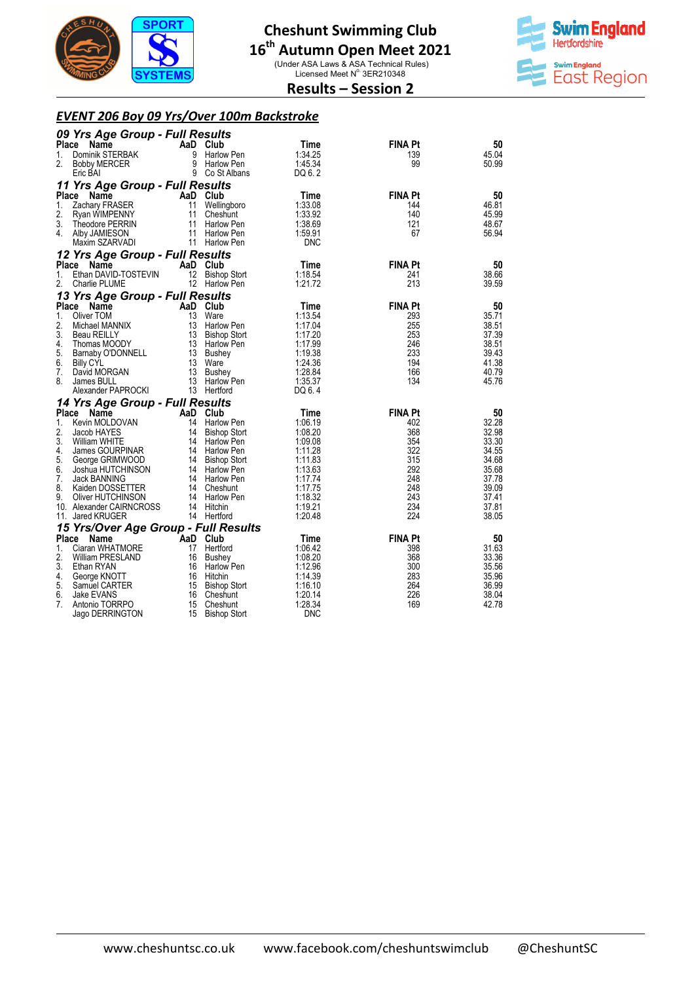

(Under ASA Laws & ASA Technical Rules)<br>Licensed Meet N° 3ER210348



**Results – Session 2** 

## *EVENT 206 Boy 09 Yrs/Over 100m Backstroke*

|              | 09 Yrs Age Group - Full Results       |          |                      |                    |                |                |
|--------------|---------------------------------------|----------|----------------------|--------------------|----------------|----------------|
| Place        | <b>Name</b>                           |          | AaD Club             | Time               | <b>FINA Pt</b> | 50             |
| 1.           | Dominik STERBAK                       | 9        | <b>Harlow Pen</b>    | 1:34.25            | 139            | 45.04          |
| 2.           | <b>Bobby MERCER</b>                   | 9        | <b>Harlow Pen</b>    | 1:45.34            | 99             | 50.99          |
|              | Eric BAI                              |          | 9 Co St Albans       | DQ 6.2             |                |                |
|              | 11 Yrs Age Group - Full Results       |          |                      |                    |                |                |
| Place        | Name                                  |          | AaD Club             | Time               | <b>FINA Pt</b> | 50             |
| 1.           | Zachary FRASER                        | 11       | Wellingboro          | 1:33.08            | 144            | 46.81          |
| 2.           | Ryan WIMPENNY                         | 11       | Cheshunt             | 1:33.92            | 140            | 45.99          |
| 3.           | Theodore PERRIN                       | 11       | <b>Harlow Pen</b>    | 1:38.69            | 121            | 48.67          |
| 4.           | Alby JAMIESON                         | 11       | <b>Harlow Pen</b>    | 1:59.91            | 67             | 56.94          |
|              | Maxim SZARVADI                        |          | 11 Harlow Pen        | <b>DNC</b>         |                |                |
|              | 12 Yrs Age Group - Full Results       |          |                      |                    |                |                |
| Place        | <b>Name</b>                           |          | AaD Club             | Time               | <b>FINA Pt</b> | 50             |
| 1.           | Ethan DAVID-TOSTEVIN                  | 12       | <b>Bishop Stort</b>  | 1:18.54            | 241            | 38.66          |
| 2.           | Charlie PLUME                         |          | 12 Harlow Pen        | 1:21.72            | 213            | 39.59          |
|              | 13 Yrs Age Group - Full Results       |          |                      |                    |                |                |
| <b>Place</b> | Name                                  |          | AaD Club             | Time               | <b>FINA Pt</b> | 50             |
| 1.           | Oliver TOM                            | 13       | Ware                 | 1:13.54            | 293            | 35.71          |
| 2.           | Michael MANNIX                        | 13       | Harlow Pen           | 1:17.04            | 255            | 38.51          |
| 3.           | <b>Beau REILLY</b>                    |          | 13 Bishop Stort      | 1:17.20            | 253            | 37.39          |
| 4.<br>5.     | Thomas MOODY                          |          | 13 Harlow Pen        | 1:17.99<br>1:19.38 | 246<br>233     | 38.51<br>39.43 |
| 6.           | Barnaby O'DONNELL                     | 13       | 13 Bushey<br>Ware    | 1:24.36            | 194            | 41.38          |
| 7.           | <b>Billy CYL</b><br>David MORGAN      | 13       | Bushey               | 1:28.84            | 166            | 40.79          |
| 8.           | James BULL                            | 13       | Harlow Pen           | 1:35.37            | 134            | 45.76          |
|              | Alexander PAPROCKI                    |          | 13 Hertford          | DQ 6.4             |                |                |
|              | 14 Yrs Age Group - Full Results       |          |                      |                    |                |                |
| Place        | Name                                  |          | AaD Club             | Time               | <b>FINA Pt</b> | 50             |
| 1.           | Kevin MOLDOVAN                        | 14       | <b>Harlow Pen</b>    | 1:06.19            | 402            | 32.28          |
| 2.           | Jacob HAYES                           | 14       | <b>Bishop Stort</b>  | 1:08.20            | 368            | 32.98          |
| 3.           | <b>William WHITE</b>                  |          | 14 Harlow Pen        | 1:09.08            | 354            | 33.30          |
| 4.           | James GOURPINAR                       |          | 14 Harlow Pen        | 1:11.28            | 322            | 34.55          |
| 5.           | George GRIMWOOD                       |          | 14 Bishop Stort      | 1:11.83            | 315            | 34.68          |
| 6.           | Joshua HUTCHINSON                     |          | 14 Harlow Pen        | 1:13.63            | 292            | 35.68          |
| 7.           | Jack BANNING                          |          | 14 Harlow Pen        | 1:17.74            | 248            | 37.78          |
| 8.           | Kaiden DOSSETTER                      |          | 14 Cheshunt          | 1:17.75            | 248            | 39.09          |
| 9.           | Oliver HUTCHINSON                     |          | 14 Harlow Pen        | 1:18.32            | 243            | 37.41          |
|              | 10. Alexander CAIRNCROSS              |          | 14 Hitchin           | 1:19.21<br>1:20.48 | 234<br>224     | 37.81<br>38.05 |
|              | 11. Jared KRUGER                      |          | 14 Hertford          |                    |                |                |
|              | 15 Yrs/Over Age Group - Full Results  |          |                      |                    |                |                |
| Place        | Name                                  | AaD Club |                      | Time               | <b>FINA Pt</b> | 50             |
| 1.<br>2.     | Ciaran WHATMORE                       | 17       | Hertford             | 1:06.42<br>1:08.20 | 398<br>368     | 31.63<br>33.36 |
| 3.           | <b>William PRESLAND</b><br>Ethan RYAN | 16<br>16 | Bushey<br>Harlow Pen | 1:12.96            | 300            | 35.56          |
| 4.           | George KNOTT                          | 16       | Hitchin              | 1:14.39            | 283            | 35.96          |
| 5.           | Samuel CARTER                         |          | 15 Bishop Stort      | 1:16.10            | 264            | 36.99          |
| 6.           | Jake EVANS                            | 16       | Cheshunt             | 1:20.14            | 226            | 38.04          |
| 7.           | Antonio TORRPO                        | 15       | Cheshunt             | 1:28.34            | 169            | 42.78          |
|              | Jago DERRINGTON                       | 15       | <b>Bishop Stort</b>  | <b>DNC</b>         |                |                |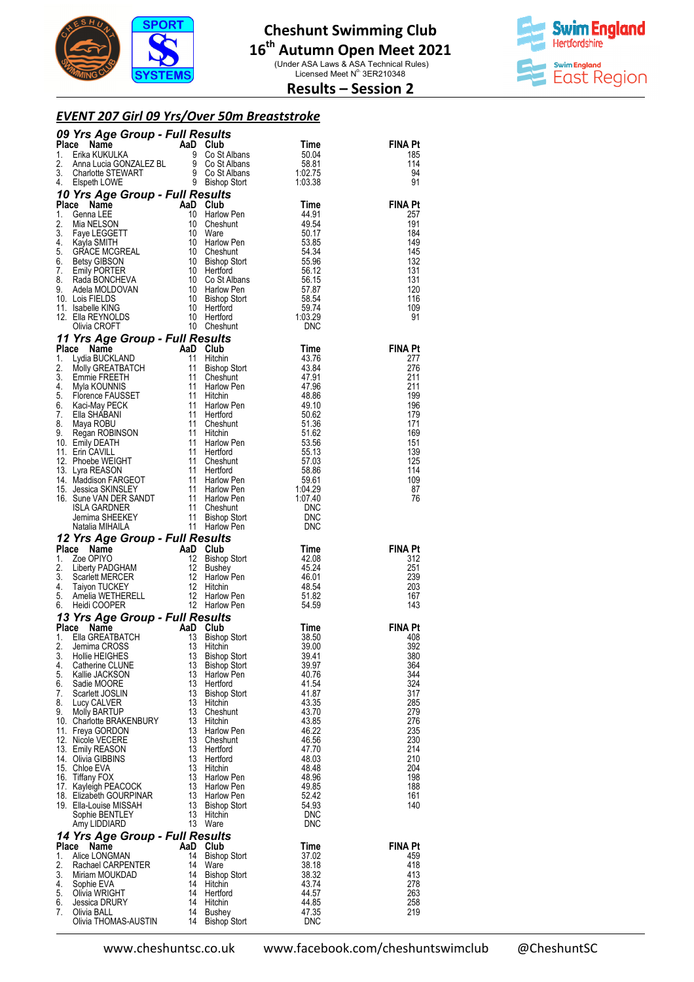

(Under ASA Laws & ASA Technical Rules)<br>Licensed Meet N° 3ER210348



## **Results – Session 2**

#### *EVENT 207 Girl 09 Yrs/Over 50m Breaststroke*

|             | 09 Yrs Age Group - Full Results                                                                                                                                                                                                                                                           |                                                                 |                               |                                                                              |                       |
|-------------|-------------------------------------------------------------------------------------------------------------------------------------------------------------------------------------------------------------------------------------------------------------------------------------------|-----------------------------------------------------------------|-------------------------------|------------------------------------------------------------------------------|-----------------------|
| Place<br>1. | The Magnetic Contract Contract Contract Contract Contract Contract Contract Contract Contract Contract Contract Contract Contract Contract Contract Contract Contract Contract Contract Contract Contract Contract Contract Co                                                            |                                                                 |                               | Time<br>50.04                                                                | <b>FINA Pt</b><br>185 |
| 2.          |                                                                                                                                                                                                                                                                                           |                                                                 |                               | 58.81                                                                        | 114                   |
| 3.          |                                                                                                                                                                                                                                                                                           |                                                                 |                               | 1:02.75                                                                      | 94                    |
| 4.          |                                                                                                                                                                                                                                                                                           |                                                                 |                               | 1:03.38                                                                      | 91                    |
| Place       | 10 Yrs Age Group - Full Results<br><b>Yrs Age Group</b><br><b>:e</b> Name<br>Genna LEE<br>Mia NELSON<br>Faye LEGGETT<br>AMTH                                                                                                                                                              |                                                                 | AaD Club                      | Time                                                                         | <b>FINA Pt</b>        |
| 1.          |                                                                                                                                                                                                                                                                                           | 10                                                              | Harlow Pen                    | 44.91                                                                        | 257                   |
| 2.          |                                                                                                                                                                                                                                                                                           | 10                                                              | Cheshunt                      | 49.54                                                                        | 191                   |
| 3.          |                                                                                                                                                                                                                                                                                           | 10                                                              | Ware                          | 50.17                                                                        | 184                   |
| 4.<br>5.    | Mia NELSON<br>Faye LEGGETT<br>Kayla SMITH<br>GRACE MCGREAL                                                                                                                                                                                                                                | 10<br>- 10                                                      | Harlow Pen<br>Cheshunt        | 53.85<br>54.34                                                               | 149<br>145            |
| 6.          | Betsy GIBSON                                                                                                                                                                                                                                                                              |                                                                 | 10 Bishop Stort               | 55.96                                                                        | 132                   |
| 7.          | <b>Emily PORTER</b>                                                                                                                                                                                                                                                                       |                                                                 | 10 Hertford                   | 56.12                                                                        | 131                   |
| 8.<br>9.    | Rada BONCHEVA<br>Adela MOLDOVAN                                                                                                                                                                                                                                                           | - 10                                                            | Co St Albans<br>Harlow Pen    | 56.15                                                                        | 131<br>120            |
|             | 10. Lois FIELDS                                                                                                                                                                                                                                                                           |                                                                 | Bishop Stort                  |                                                                              | 116                   |
|             | 11. Isabelle KING                                                                                                                                                                                                                                                                         |                                                                 | Hertford                      |                                                                              | 109                   |
|             | 12. Ella REYNOLDS<br>Olivia CROFT                                                                                                                                                                                                                                                         | $\begin{array}{c} 10 \\ 10 \\ 10 \\ 10 \\ 10 \\ 10 \end{array}$ | Hertford<br>Cheshunt          | $\begin{array}{r} 57.87 \\ 58.54 \\ 59.74 \\ 1.03 \end{array}$<br><b>DNC</b> | 91                    |
|             | 11 Yrs Age Group - Full Results                                                                                                                                                                                                                                                           |                                                                 |                               |                                                                              |                       |
|             |                                                                                                                                                                                                                                                                                           |                                                                 |                               | Time                                                                         | <b>FINA Pt</b>        |
|             |                                                                                                                                                                                                                                                                                           |                                                                 |                               | 43.76                                                                        | 277                   |
|             |                                                                                                                                                                                                                                                                                           |                                                                 | Bishop Stort                  | 43.84                                                                        | 276                   |
|             |                                                                                                                                                                                                                                                                                           |                                                                 |                               | 47.91<br>47.96                                                               | 211<br>211            |
|             |                                                                                                                                                                                                                                                                                           |                                                                 |                               | 48.86                                                                        | 199                   |
|             |                                                                                                                                                                                                                                                                                           |                                                                 |                               | 49.10                                                                        | 196                   |
|             |                                                                                                                                                                                                                                                                                           |                                                                 |                               | 50.62<br>51.36                                                               | 179<br>171            |
|             |                                                                                                                                                                                                                                                                                           |                                                                 |                               | 51.62                                                                        | 169                   |
|             |                                                                                                                                                                                                                                                                                           |                                                                 | Harlow Pen                    | 53.56                                                                        | 151                   |
|             |                                                                                                                                                                                                                                                                                           |                                                                 |                               | 55.13<br>57.03                                                               | 139<br>125            |
|             |                                                                                                                                                                                                                                                                                           |                                                                 |                               | 58.86                                                                        | 114                   |
|             |                                                                                                                                                                                                                                                                                           |                                                                 | Harlow Pen                    | 59.61                                                                        | 109                   |
|             |                                                                                                                                                                                                                                                                                           |                                                                 |                               | 1:04.29<br>1:07.40                                                           | 87<br>76              |
|             |                                                                                                                                                                                                                                                                                           |                                                                 |                               | <b>DNC</b>                                                                   |                       |
|             |                                                                                                                                                                                                                                                                                           |                                                                 |                               | DNC                                                                          |                       |
|             |                                                                                                                                                                                                                                                                                           |                                                                 |                               |                                                                              |                       |
|             |                                                                                                                                                                                                                                                                                           |                                                                 |                               | DNC                                                                          |                       |
|             | 11 Yrs Age Group - Full Results<br>Place Name<br>1. Lydia BUCKLAND<br>11 Hitchin<br>2. Molly GREATBATCH<br>11 Bishop Stort<br>3. Emmie FREETH<br>11 Dishop Stort<br>4. Myla KOUNNIS<br>11 Harlow Pen<br>5. Florence FAUSSET<br>11 Hitchin<br>6. Kaci-M<br>12 Yrs Age Group - Full Results |                                                                 |                               |                                                                              |                       |
| Place<br>1. |                                                                                                                                                                                                                                                                                           |                                                                 |                               | Time<br>42.08                                                                | <b>FINA Pt</b><br>312 |
| 2.          |                                                                                                                                                                                                                                                                                           |                                                                 | <b>Bishop Stort</b>           | 45.24                                                                        | 251                   |
| 3.          |                                                                                                                                                                                                                                                                                           |                                                                 |                               | 46.01                                                                        | 239                   |
| 4.<br>5.    |                                                                                                                                                                                                                                                                                           |                                                                 |                               | 48.54<br>51.82                                                               | 203<br>167            |
| 6.          |                                                                                                                                                                                                                                                                                           |                                                                 |                               | 54.59                                                                        | 143                   |
|             | Exame Man Club<br>Zoe OPIYO Anne AaD Club<br>Zoe OPIYO 12 Bishop Stort<br>Liberty PADGHAM 12 Bushey<br>Scarlett MERCER 12 Harlow Pen<br>Taiyon TUCKEY 12 Hitchin<br>Amelia WETHERELL 12 Harlow Pen<br>Heidi COOPER                                                                        |                                                                 |                               |                                                                              |                       |
|             |                                                                                                                                                                                                                                                                                           |                                                                 |                               | Time                                                                         | <b>FINA Pt</b>        |
|             |                                                                                                                                                                                                                                                                                           |                                                                 | <b>Bishop Stort</b>           | 38.50<br>39.00                                                               | 408                   |
| 3.          | <b>13 Yrs Age Group - Full Results<br/> Place Name AaD Club<br/> 1. Ella GREATBATCH 13 Bishop S<br/> 2. Jemima CROSS 13 Hitchin</b><br>Hollie HEIGHES                                                                                                                                     | 13                                                              | <b>Bishop Stort</b>           | 39.41                                                                        | 392<br>380            |
| 4.          | Catherine CLUNE                                                                                                                                                                                                                                                                           | 13                                                              | Bishop Stort                  | 39.97                                                                        | 364                   |
| 5.          | Kallie JACKSON                                                                                                                                                                                                                                                                            | 13                                                              | Harlow Pen                    | 40.76                                                                        | 344                   |
| 6.<br>7.    | Sadie MOORE<br>Scarlett JOSLIN                                                                                                                                                                                                                                                            | 13<br>13                                                        | Hertford<br>Bishop Stort      | 41.54<br>41.87                                                               | 324<br>317            |
| 8.          | Lucy CALVER                                                                                                                                                                                                                                                                               | 13                                                              | Hitchin                       | 43.35                                                                        | 285                   |
| 9.          | Molly BARTUP                                                                                                                                                                                                                                                                              | 13                                                              | Cheshunt                      | 43.70                                                                        | 279                   |
|             | 10. Charlotte BRAKENBURY<br>11. Freya GORDON                                                                                                                                                                                                                                              | 13<br>13                                                        | Hitchin<br><b>Harlow Pen</b>  | 43.85<br>46.22                                                               | 276<br>235            |
|             | 12. Nicole VECERE                                                                                                                                                                                                                                                                         | 13                                                              | Cheshunt                      | 46.56                                                                        | 230                   |
|             | 13. Emily REASON                                                                                                                                                                                                                                                                          | 13                                                              | Hertford                      | 47.70                                                                        | 214                   |
|             | 14. Olivia GIBBINS<br>15. Chloe EVA                                                                                                                                                                                                                                                       | 13<br>13                                                        | Hertford<br>Hitchin           | 48.03<br>48.48                                                               | 210<br>204            |
|             | 16. Tiffany FOX                                                                                                                                                                                                                                                                           | 13                                                              | Harlow Pen                    | 48.96                                                                        | 198                   |
|             | 17. Kayleigh PEACOCK                                                                                                                                                                                                                                                                      | 13                                                              | <b>Harlow Pen</b>             | 49.85                                                                        | 188                   |
|             | 18. Elizabeth GOURPINAR<br>19. Ella-Louise MISSAH                                                                                                                                                                                                                                         | 13                                                              | Harlow Pen<br>13 Bishop Stort | 52.42<br>54.93                                                               | 161<br>140            |
|             | Sophie BENTLEY                                                                                                                                                                                                                                                                            | 13                                                              | Hitchin                       | <b>DNC</b>                                                                   |                       |
|             | Amy LIDDIARD                                                                                                                                                                                                                                                                              | 13                                                              | Ware                          | <b>DNC</b>                                                                   |                       |
|             | 14 Yrs Age Group - Full Results                                                                                                                                                                                                                                                           |                                                                 |                               |                                                                              |                       |
| Place<br>1. | Name<br>Alice LONGMAN                                                                                                                                                                                                                                                                     | 14                                                              | AaD Club<br>Bishop Stort      | Time<br>37.02                                                                | <b>FINA Pt</b><br>459 |
| 2.          | Rachael CARPENTER                                                                                                                                                                                                                                                                         | 14                                                              | Ware                          | 38.18                                                                        | 418                   |
| 3.          | Miriam MOUKDAD                                                                                                                                                                                                                                                                            | 14                                                              | <b>Bishop Stort</b>           | 38.32                                                                        | 413                   |
| 4.<br>5.    | Sophie EVA<br>Olivia WRIGHT                                                                                                                                                                                                                                                               | 14<br>14                                                        | Hitchin<br>Hertford           | 43.74<br>44.57                                                               | 278<br>263            |
| 6.          | Jessica DRURY                                                                                                                                                                                                                                                                             | 14                                                              | Hitchin                       | 44.85                                                                        | 258                   |
| 7.          | Olivia BALL<br>Olivia THOMAS-AUSTIN                                                                                                                                                                                                                                                       | 14<br>14                                                        | Bushey<br><b>Bishop Stort</b> | 47.35<br><b>DNC</b>                                                          | 219                   |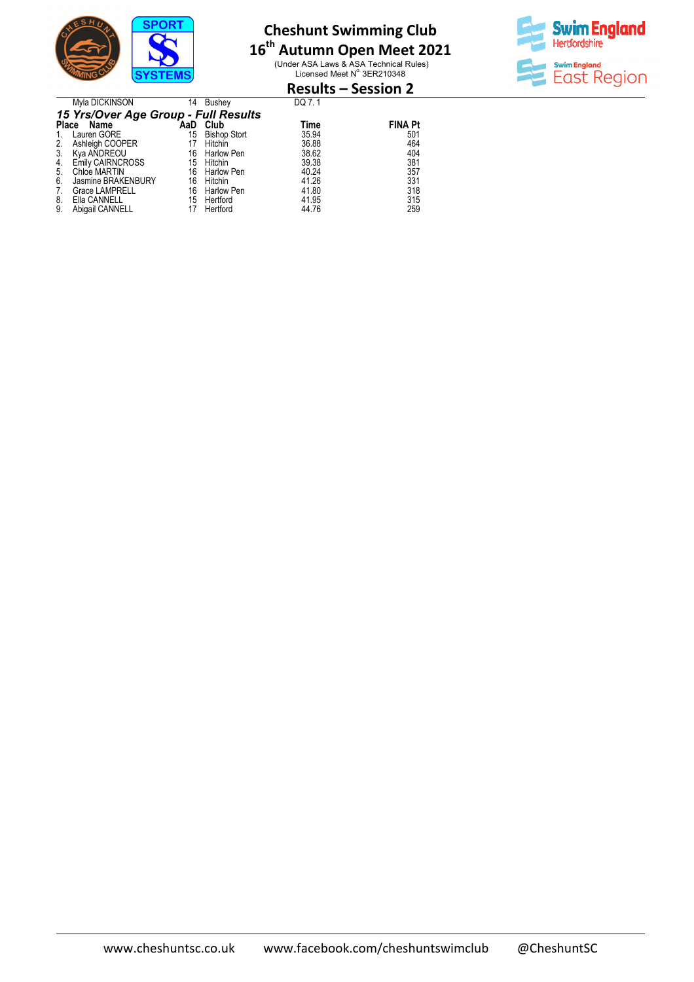

Myla DICKINSON 14 Bushey

# **Cheshunt Swimming Club**

# **16 th Autumn Open Meet 2021**

(Under ASA Laws & ASA Technical Rules)<br>Licensed Meet N° 3ER210348



# **Results – Session 2**  DQ 7. 1

|    | 15 Yrs/Over Age Group - Full Results |     |                     |       |                |  |  |  |  |
|----|--------------------------------------|-----|---------------------|-------|----------------|--|--|--|--|
|    | Place Name                           | AaD | Club                | Time  | <b>FINA Pt</b> |  |  |  |  |
|    | Lauren GORE                          | 15  | <b>Bishop Stort</b> | 35.94 | 501            |  |  |  |  |
| 2. | Ashleigh COOPER                      | 17  | Hitchin             | 36.88 | 464            |  |  |  |  |
| 3. | Kya AÑDREOU                          | 16  | Harlow Pen          | 38.62 | 404            |  |  |  |  |
| 4. | <b>Emily CAIRNCROSS</b>              |     | 15 Hitchin          | 39.38 | 381            |  |  |  |  |
| 5. | Chloe MARTIN                         | 16  | Harlow Pen          | 40.24 | 357            |  |  |  |  |
| 6. | Jasmine BRAKENBURY                   | 16  | Hitchin             | 41.26 | 331            |  |  |  |  |
| 7. | <b>Grace LAMPRELL</b>                | 16  | Harlow Pen          | 41.80 | 318            |  |  |  |  |
| 8. | Ella CANNELL                         | 15  | Hertford            | 41.95 | 315            |  |  |  |  |
| 9. | Abigail CANNELL                      | 17  | Hertford            | 44.76 | 259            |  |  |  |  |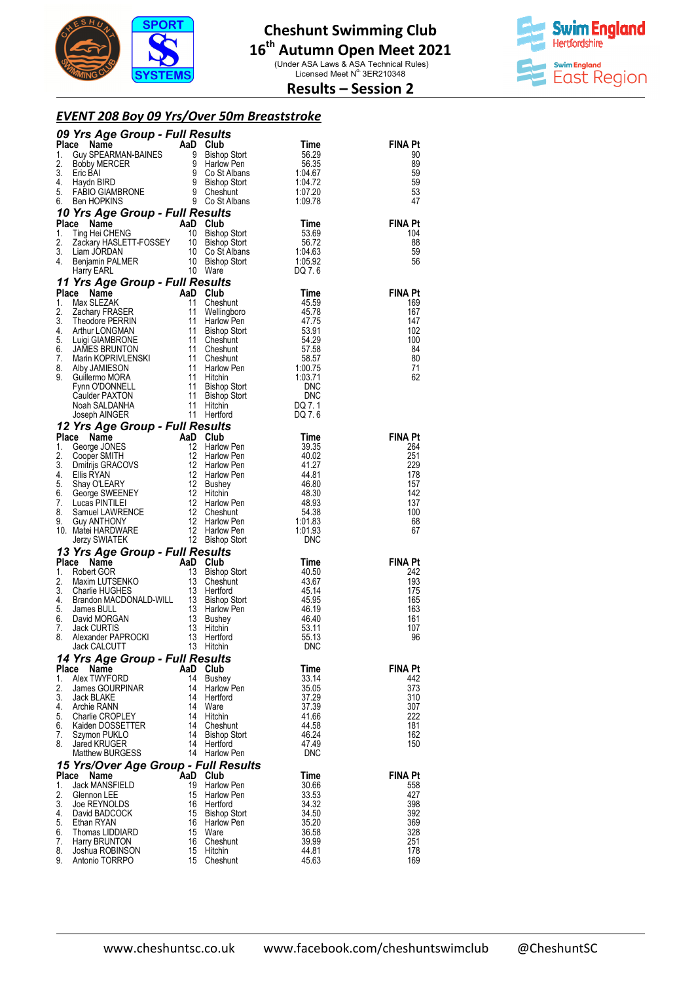

(Under ASA Laws & ASA Technical Rules)<br>Licensed Meet N° 3ER210348



## **Results – Session 2**

#### *EVENT 208 Boy 09 Yrs/Over 50m Breaststroke*

|          | <b>09 Yrs Age Group - Full Results<br/> Place Name AaD Club Time<br/> 1. Guy SPEARMAN-BAINES 9 Bishop Stort 56.29<br/> 2. Bobby MERCER 9 Harlow Pen 56.35<br/> 3. Eric BAI 9 Co St Albans 1:04.67<br/> 5. FABIO GIAMBRONE 9 Cheshut 1:07.20<br/> 6. FABI</b>                                 |          |                              |                        |                       |
|----------|----------------------------------------------------------------------------------------------------------------------------------------------------------------------------------------------------------------------------------------------------------------------------------------------|----------|------------------------------|------------------------|-----------------------|
|          |                                                                                                                                                                                                                                                                                              |          |                              |                        | <b>FINA Pt</b>        |
|          |                                                                                                                                                                                                                                                                                              |          |                              |                        | 90<br>89              |
|          |                                                                                                                                                                                                                                                                                              |          |                              |                        | 59                    |
|          |                                                                                                                                                                                                                                                                                              |          |                              |                        | 59                    |
|          |                                                                                                                                                                                                                                                                                              |          |                              |                        | 53                    |
|          |                                                                                                                                                                                                                                                                                              |          |                              |                        | 47                    |
| Place    |                                                                                                                                                                                                                                                                                              |          |                              |                        | <b>FINA Pt</b>        |
| 1.       |                                                                                                                                                                                                                                                                                              |          |                              |                        | 104                   |
| 2.       |                                                                                                                                                                                                                                                                                              |          |                              |                        | 88                    |
| 3.<br>4. |                                                                                                                                                                                                                                                                                              |          |                              |                        | 59<br>56              |
|          | Time<br>Time<br>Time<br>Time<br>Time<br>Time<br>Time<br>Time<br>Time<br>Time<br>Time<br>Time<br>Time<br>Time<br>Time<br>Time<br>Time<br>Time<br>Time<br>Time<br>Sackary HASLETT-FOSSEY<br>10 Bishop Stort<br>56.72<br>Liam JORDAN<br>10 Co St Albans<br>10 Bishop Stort<br>10 Bish           |          |                              |                        |                       |
|          | 11 Yrs Age Group - Full Results<br>Place Name AaD Club                                                                                                                                                                                                                                       |          |                              |                        |                       |
| Place    | 1 Yrs Age Group - Full Results<br>Max SLEZAK and Club Time<br>Max SLEZAK 11 Cheshunt 45.59<br>Theodore PERRIN 11 Harlow Pen<br>And Club 45.78<br>Theodore PERRIN 11 Harlow Pen<br>47.75<br>Arthur LONGMAN 11 Bishop Stort 53.91<br>Luigi GIAMB                                               |          |                              |                        | <b>FINA Pt</b>        |
| 1.<br>2. |                                                                                                                                                                                                                                                                                              |          |                              |                        | 169<br>167            |
| 3.       |                                                                                                                                                                                                                                                                                              |          |                              |                        | 147                   |
| 4.       |                                                                                                                                                                                                                                                                                              |          |                              |                        | 102                   |
| 5.       |                                                                                                                                                                                                                                                                                              |          |                              |                        | 100                   |
| 6.<br>7. |                                                                                                                                                                                                                                                                                              |          |                              |                        | 84<br>80              |
| 8.       |                                                                                                                                                                                                                                                                                              |          |                              |                        | 71                    |
| 9.       |                                                                                                                                                                                                                                                                                              |          |                              |                        | 62                    |
|          |                                                                                                                                                                                                                                                                                              |          |                              |                        |                       |
|          |                                                                                                                                                                                                                                                                                              |          |                              |                        |                       |
|          |                                                                                                                                                                                                                                                                                              |          |                              |                        |                       |
|          | 12 <b>Yrs Age Group - Full Results</b><br><b>12 Yrs Age Group - Full Results</b><br>1. George JONES<br>2. Cooper SMITH<br>2. Cooper SMITH<br>3. Dmitrijs GRACOVS<br>4. Ellis RYAN<br>6. George SWEENEY<br>6. George SWEENEY<br>7. Lucas PINTILEI<br>7. Lucas                                 |          |                              |                        |                       |
|          |                                                                                                                                                                                                                                                                                              |          |                              | Time<br>39.35          | <b>FINA Pt</b><br>264 |
|          |                                                                                                                                                                                                                                                                                              |          |                              | 40.02                  | 251                   |
|          |                                                                                                                                                                                                                                                                                              |          |                              | 41.27                  | 229                   |
|          |                                                                                                                                                                                                                                                                                              |          |                              | 44.81                  | 178                   |
|          |                                                                                                                                                                                                                                                                                              |          |                              | 46.80<br>48.30         | 157<br>142            |
|          |                                                                                                                                                                                                                                                                                              |          |                              | 48.93                  | 137                   |
|          |                                                                                                                                                                                                                                                                                              |          |                              | 54.38                  | 100                   |
|          |                                                                                                                                                                                                                                                                                              |          |                              | $1.01.83$<br>$1.01.93$ | 68<br>67              |
|          |                                                                                                                                                                                                                                                                                              |          |                              | <b>DNC</b>             |                       |
|          | 13 Yrs Age Group - Full Results                                                                                                                                                                                                                                                              |          |                              |                        |                       |
| Place    | <b>Yrs Age Group - Full Results<br/> ce Name<br/> Robert GOR<br/> Maxim LUTSENKO<br/> Sishop Stort<br/> Charlie HUGHES<br/> Brandon MACDONALD-WILL<br/> 13 Bishop Stort<br/> James BULL<br/> David MORGAN<br/> Jack CURTIS<br/> Jack CURTIS<br/> 13 Bushey<br/> Jack CURTIS<br/> 13 Bush</b> |          |                              | Time                   | <b>FINA Pt</b>        |
| 1.<br>2. |                                                                                                                                                                                                                                                                                              |          |                              | 40.50<br>43.67         | 242<br>193            |
| 3.       |                                                                                                                                                                                                                                                                                              |          |                              | 45.14                  | 175                   |
| 4.       |                                                                                                                                                                                                                                                                                              |          |                              | 45.95                  | 165                   |
| 5.<br>6. |                                                                                                                                                                                                                                                                                              |          |                              | 46.19<br>46.40         | 163<br>161            |
| 7.       |                                                                                                                                                                                                                                                                                              |          |                              | 53.11                  | 107                   |
| 8.       |                                                                                                                                                                                                                                                                                              |          |                              | 55.13                  | 96                    |
|          | 13 Hitchin                                                                                                                                                                                                                                                                                   |          |                              | <b>DNC</b>             |                       |
| Place    | 14 Yrs Age Group - Full Results<br>Name                                                                                                                                                                                                                                                      |          | AaD Club                     |                        | FINA Pt               |
| 1.       | Alex TWYFORD                                                                                                                                                                                                                                                                                 |          | 14 Bushey                    | Time<br>33.14          | 442                   |
| 2.       | James GOURPINAR                                                                                                                                                                                                                                                                              | 14       | Harlow Pen                   | 35.05                  | 373                   |
| 3.       | Jack BLAKE                                                                                                                                                                                                                                                                                   | 14       | Hertford                     | 37.29                  | 310                   |
| 4.<br>5. | Archie RANN<br>Charlie CROPLEY                                                                                                                                                                                                                                                               | 14       | Ware<br>14 Hitchin           | 37.39<br>41.66         | 307<br>222            |
| 6.       | Kaiden DOSSETTER                                                                                                                                                                                                                                                                             |          | 14 Cheshunt                  | 44.58                  | 181                   |
| 7.       | Szymon PUKLO                                                                                                                                                                                                                                                                                 |          | 14 Bishop Stort              | 46.24                  | 162                   |
| 8.       | Jared KRUGER<br>Matthew BURGESS                                                                                                                                                                                                                                                              |          | 14 Hertford<br>14 Harlow Pen | 47.49<br><b>DNC</b>    | 150                   |
|          | 15 Yrs/Over Age Group - Full Results                                                                                                                                                                                                                                                         |          |                              |                        |                       |
| Place    | Name                                                                                                                                                                                                                                                                                         |          | AaD Club                     | Time                   | <b>FINA Pt</b>        |
| 1.       | Jack MANSFIELD                                                                                                                                                                                                                                                                               | 19       | Harlow Pen                   | 30.66                  | 558                   |
| 2.<br>3. | Glennon LEE<br>Joe REYNOLDS                                                                                                                                                                                                                                                                  | 15<br>16 | Harlow Pen<br>Hertford       | 33.53<br>34.32         | 427<br>398            |
| 4.       | David BADCOCK                                                                                                                                                                                                                                                                                | 15       | Bishop Stort                 | 34.50                  | 392                   |
| 5.       | Ethan RYAN                                                                                                                                                                                                                                                                                   | 16       | Harlow Pen                   | 35.20                  | 369                   |
| 6.<br>7. | Thomas LIDDIARD<br>Harry BRUNTON                                                                                                                                                                                                                                                             | 15<br>16 | Ware<br>Cheshunt             | 36.58<br>39.99         | 328<br>251            |
| 8.       | Joshua ROBINSON                                                                                                                                                                                                                                                                              | 15       | Hitchin                      | 44.81                  | 178                   |
| 9.       | Antonio TORRPO                                                                                                                                                                                                                                                                               | 15       | Cheshunt                     | 45.63                  | 169                   |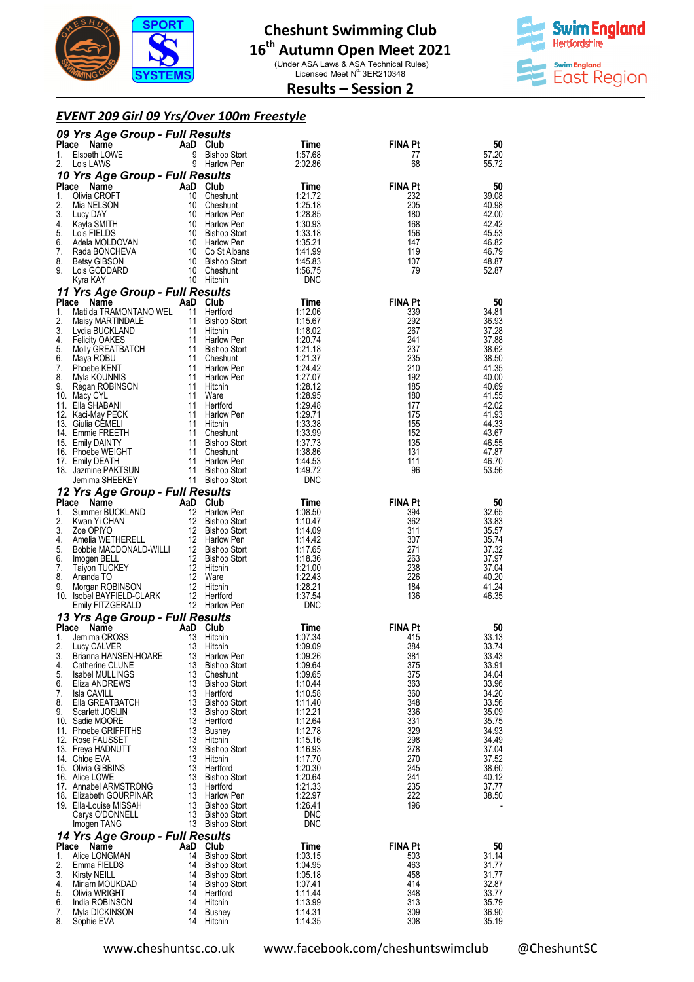

(Under ASA Laws & ASA Technical Rules)<br>Licensed Meet N° 3ER210348



**Results – Session 2** 

### *EVENT 209 Girl 09 Yrs/Over 100m Freestyle*

|                | 09 Yrs Age Group - Full Results<br>Place Name     |                | AaD Club                                   | Time                          | <b>FINA Pt</b>        | 50                      |
|----------------|---------------------------------------------------|----------------|--------------------------------------------|-------------------------------|-----------------------|-------------------------|
| 1.<br>2.       | Elspeth LOWE<br>Lois LAWS                         | 9              | <b>Bishop Stort</b><br>9 Harlow Pen        | 1:57.68<br>2:02.86            | 77<br>68              | 57.20<br>55.72          |
| Place          | 10 Yrs Age Group - Full Results                   |                |                                            |                               | <b>FINA Pt</b>        | 50                      |
| 1.             | Name<br>Olivia CROFT                              |                | AaD Club<br>10 Cheshunt                    | Time<br>1:21.72               | 232                   | 39.08                   |
| 2.             | Mia NELSON                                        |                | 10 Cheshunt                                | 1:25.18                       | 205                   | 40.98                   |
| 3.<br>4.       | Lucy DAY<br>Kayla SMITH                           |                | 10 Harlow Pen<br>10 Harlow Pen             | 1:28.85<br>1:30.93            | 180<br>168            | 42.00<br>42.42          |
| 5.             | Lois FIELDS                                       |                | 10 Bishop Stort                            | 1:33.18                       | 156                   | 45.53                   |
| 6.<br>7.       | Adela MOLDOVAN<br>Rada BONCHEVA                   |                | 10 Harlow Pen<br>10 Co St Albans           | 1:35.21<br>1:41.99            | 147<br>119            | 46.82<br>46.79          |
| 8.             | <b>Betsy GIBSON</b>                               |                | 10 Bishop Stort                            | 1:45.83                       | 107                   | 48.87                   |
| 9.             | Lois GODDARD<br>Kyra KAY                          |                | 10 Cheshunt<br>10 Hitchin                  | 1:56.75<br><b>DNC</b>         | 79                    | 52.87                   |
|                | 11 Yrs Age Group - Full Results                   |                |                                            |                               |                       |                         |
| Place          | Name                                              |                | AaD Club                                   | Time                          | <b>FINA Pt</b>        | 50                      |
| 1.<br>2.       | Matilda TRAMONTANO WEL<br>Maisy MARTINDALE        | 11             | Hertford<br>11 Bishop Stort                | 1:12.06<br>1:15.67            | 339<br>292            | 34.81<br>36.93          |
| 3.             | Lydia BUCKLAND                                    |                | 11 Hitchin                                 | 1:18.02                       | 267                   | 37.28                   |
| 4.             | <b>Felicity OAKES</b>                             |                | 11 Harlow Pen                              | 1:20.74                       | 241                   | 37.88                   |
| 5.<br>6.       | Molly GREATBATCH<br>Maya ROBU                     |                | 11 Bishop Stort<br>11 Cheshunt             | 1:21.18<br>1:21.37            | 237<br>235            | 38.62<br>38.50          |
| 7.             | Phoebe KENT                                       |                | 11 Harlow Pen                              | 1:24.42                       | 210                   | 41.35                   |
| 8.<br>9.       | Myla KOUNNIS<br>Regan ROBINSON                    | 11             | 11 Harlow Pen<br>Hitchin                   | 1:27.07<br>1:28.12            | 192<br>185            | 40.00<br>40.69          |
|                | 10. Macy CYL                                      | 11             | Ware                                       | 1:28.95                       | 180                   | 41.55                   |
|                | 11. Ella SHABANI                                  | 11             | Hertford                                   | 1:29.48                       | 177                   | 42.02                   |
|                | 12. Kaci-May PECK<br>13. Giulia CEMELI            | 11             | Harlow Pen<br>11 Hitchin                   | 1:29.71<br>1:33.38            | 175<br>155            | 41.93<br>44.33          |
|                | 14. Emmie FREETH                                  |                | 11 Cheshunt                                | 1:33.99                       | 152                   | 43.67                   |
|                | 15. Emily DAINTY<br>16. Phoebe WEIGHT             | 11             | <b>Bishop Stort</b><br>11 Cheshunt         | 1:37.73                       | 135<br>131            | 46.55                   |
|                | 17. Emily DEATH                                   |                | 11 Harlow Pen                              | 1:38.86<br>1:44.53            | 111                   | 47.87<br>46.70          |
|                | 18. Jazmine PAKTSUN                               |                | 11 Bishop Stort                            | 1:49.72                       | 96                    | 53.56                   |
|                | Jemima SHEEKEY<br>12 Yrs Age Group - Full Results |                | 11 Bishop Stort                            | <b>DNC</b>                    |                       |                         |
|                | Place Name                                        |                | AaD Club                                   | Time                          | <b>FINA Pt</b>        | 50                      |
| 1.             | Summer BUCKLAND                                   |                | 12 Harlow Pen                              | 1:08.50                       | 394                   | 32.65                   |
| 2.<br>3.       | Kwan Yi CHAN<br>Zoe OPIYO                         |                | 12 Bishop Stort<br>12 Bishop Stort         | 1:10.47<br>1:14.09            | 362<br>311            | 33.83<br>35.57          |
| 4.             | Amelia WETHERELL                                  |                | 12 Harlow Pen                              | 1:14.42                       | 307                   | 35.74                   |
| 5.<br>6.       | Bobbie MACDONALD-WILLI<br>Imogen BELL             |                | 12 Bishop Stort<br>12 Bishop Stort         | 1:17.65<br>1:18.36            | 271<br>263            | 37.32<br>37.97          |
| 7.             | <b>Taiyon TUCKEY</b>                              |                | 12 Hitchin                                 | 1:21.00                       | 238                   | 37.04                   |
| 8.             | Ananda TO                                         |                | 12 Ware                                    | 1:22.43                       | 226                   | 40.20                   |
| 9.             | Morgan ROBINSON<br>10. Isobel BAYFIELD-CLARK      |                | 12 Hitchin<br>12 Hertford                  | 1:28.21<br>1:37.54            | 184<br>136            | 41.24<br>46.35          |
|                | Emily FITZGERALD                                  |                | 12 Harlow Pen                              | <b>DNC</b>                    |                       |                         |
|                | 13 Yrs Age Group - Full Results                   |                |                                            |                               |                       |                         |
| Place<br>1.    | Name<br>Jemima CROSS                              | AaD<br>13      | Club<br>Hitchin                            | Time<br>1:07.34               | <b>FINA Pt</b><br>415 | 50<br>33.13             |
| 2.             | Lucy CALVER                                       | 13             | Hitchin                                    | 1:09.09                       | 384                   | 33.74                   |
| 3.<br>4.       | Brianna HANSEN-HOARE<br>Catherine CLUNE           | 13<br>13       | Harlow Pen<br><b>Bishop Stort</b>          | 1:09.26<br>1:09.64            | 381<br>375            | 33.43<br>33.91          |
| 5.             | Isabel MULLINGS                                   | 13             | Cheshunt                                   | 1:09.65                       | 375                   | 34.04                   |
| 6.             | Eliza ANDREWS                                     | 13             | <b>Bishop Stort</b>                        | 1:10.44                       | 363                   | 33.96                   |
| 7.<br>8.       | Isla CAVILL<br>Ella GREATBATCH                    | 13<br>13       | Hertford<br><b>Bishop Stort</b>            | 1:10.58<br>1:11.40            | 360<br>348            | 34.20<br>33.56          |
| 9.             | Scarlett JOSLIN                                   | 13             | <b>Bishop Stort</b>                        | 1:12.21                       | 336                   | 35.09                   |
|                | 10. Sadie MOORE<br>11. Phoebe GRIFFITHS           | 13<br>13       | Hertford<br>Bushey                         | 1:12.64<br>1:12.78            | 331<br>329            | 35.75<br>34.93          |
|                | 12. Rose FAUSSET                                  | 13             | Hitchin                                    | 1:15.16                       | 298                   | 34.49                   |
|                | 13. Freya HADNUTT                                 | 13             | <b>Bishop Stort</b>                        | 1:16.93                       | 278                   | 37.04                   |
|                | 14. Chloe EVA<br>15. Olivia GIBBINS               | 13<br>13       | Hitchin<br>Hertford                        | 1:17.70<br>1:20.30            | 270<br>245            | 37.52<br>38.60          |
|                | 16. Alice LOWE                                    | 13             | <b>Bishop Stort</b>                        | 1:20.64                       | 241                   | 40.12                   |
|                | 17. Annabel ARMSTRONG<br>18. Elizabeth GOURPINAR  | 13<br>13       | Hertford<br>Harlow Pen                     | 1:21.33<br>1:22.97            | 235<br>222            | 37.77<br>38.50          |
|                | 19. Ella-Louise MISSAH                            | 13             | <b>Bishop Stort</b>                        | 1:26.41                       | 196                   |                         |
|                | Cerys O'DONNELL                                   | 13             | <b>Bishop Stort</b>                        | DNC                           |                       |                         |
|                | Imogen TANG<br>14 Yrs Age Group - Full Results    | 13             | <b>Bishop Stort</b>                        | DNC                           |                       |                         |
| Place          | Name                                              | AaD            | Club                                       | Time                          | <b>FINA Pt</b>        | 50                      |
| 1.             | Alice LONGMAN                                     | 14             | <b>Bishop Stort</b>                        | 1:03.15                       | 503                   | 31.14<br>31.77          |
|                |                                                   |                |                                            |                               |                       |                         |
| 2.<br>3.       | Emma FIELDS                                       | 14<br>14       | <b>Bishop Stort</b>                        | 1:04.95<br>1:05.18            | 463<br>458            | 31.77                   |
| 4.             | <b>Kirsty NEILL</b><br>Miriam MOUKDAD             | 14             | <b>Bishop Stort</b><br><b>Bishop Stort</b> | 1:07.41                       | 414                   | 32.87                   |
| 5.             | Olivia WRIGHT                                     | 14             | Hertford                                   | 1:11.44                       | 348                   | 33.77                   |
| 6.<br>7.<br>8. | India ROBINSON<br>Myla DICKINSON<br>Sophie EVA    | 14<br>14<br>14 | Hitchin<br>Bushey<br>Hitchin               | 1:13.99<br>1:14.31<br>1:14.35 | 313<br>309<br>308     | 35.79<br>36.90<br>35.19 |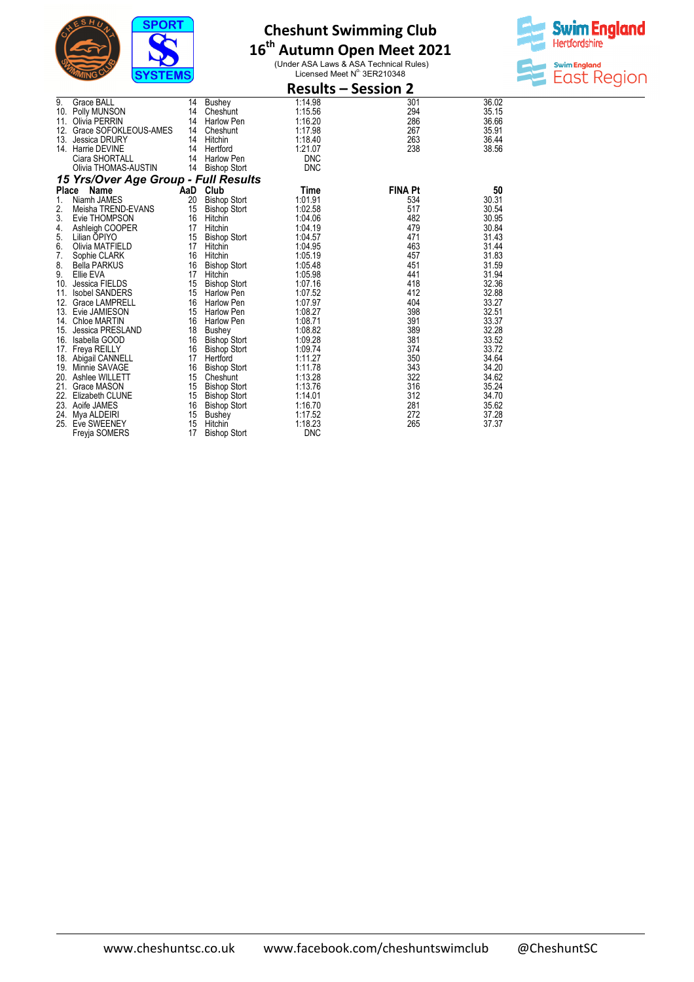

# **16 th Autumn Open Meet 2021**

(Under ASA Laws & ASA Technical Rules)<br>Licensed Meet N° 3ER210348



|       | <b>Results - Session 2</b>           |     |                     |            |                |       |
|-------|--------------------------------------|-----|---------------------|------------|----------------|-------|
| 9.    | <b>Grace BALL</b>                    | 14  | Bushey              | 1:14.98    | 301            | 36.02 |
| 10.   | Polly MUNSON                         | 14  | Cheshunt            | 1:15.56    | 294            | 35.15 |
| 11.   | Olivia PERRIN                        | 14  | Harlow Pen          | 1:16.20    | 286            | 36.66 |
| 12.   | Grace SOFOKLEOUS-AMES                | 14  | Cheshunt            | 1:17.98    | 267            | 35.91 |
| 13.   | <b>Jessica DRURY</b>                 | 14  | Hitchin             | 1:18.40    | 263            | 36.44 |
| 14.   | Harrie DEVINE                        | 14  | Hertford            | 1:21.07    | 238            | 38.56 |
|       | Ciara SHORTALL                       | 14  | <b>Harlow Pen</b>   | <b>DNC</b> |                |       |
|       | Olivia THOMAS-AUSTIN                 | 14  | <b>Bishop Stort</b> | <b>DNC</b> |                |       |
|       | 15 Yrs/Over Age Group - Full Results |     |                     |            |                |       |
| Place | Name                                 | AaD | Club                | Time       | <b>FINA Pt</b> | 50    |
| 1.    | Niamh JAMES                          | 20  | <b>Bishop Stort</b> | 1:01.91    | 534            | 30.31 |
| 2.    | Meisha TREND-EVANS                   | 15  | <b>Bishop Stort</b> | 1:02.58    | 517            | 30.54 |
| 3.    | Evie THOMPSON                        | 16  | Hitchin             | 1:04.06    | 482            | 30.95 |
| 4.    | Ashleigh COOPER                      | 17  | Hitchin             | 1:04.19    | 479            | 30.84 |
| 5.    | Lilian OPIYO                         | 15  | <b>Bishop Stort</b> | 1:04.57    | 471            | 31.43 |
| 6.    | Olivia MATFIELD                      | 17  | Hitchin             | 1:04.95    | 463            | 31.44 |
| 7.    | Sophie CLARK                         | 16  | Hitchin             | 1:05.19    | 457            | 31.83 |
| 8.    | <b>Bella PARKUS</b>                  | 16  | <b>Bishop Stort</b> | 1:05.48    | 451            | 31.59 |
| 9.    | Ellie EVA                            | 17  | Hitchin             | 1:05.98    | 441            | 31.94 |
| 10.   | Jessica FIELDS                       | 15  | <b>Bishop Stort</b> | 1:07.16    | 418            | 32.36 |
| 11.   | <b>Isobel SANDERS</b>                | 15  | <b>Harlow Pen</b>   | 1:07.52    | 412            | 32.88 |
| 12.   | <b>Grace LAMPRELL</b>                | 16  | <b>Harlow Pen</b>   | 1:07.97    | 404            | 33.27 |
| 13.   | Evie JAMIESON                        | 15  | <b>Harlow Pen</b>   | 1:08.27    | 398            | 32.51 |
| 14.   | <b>Chloe MARTIN</b>                  | 16  | <b>Harlow Pen</b>   | 1:08.71    | 391            | 33.37 |
| 15.   | Jessica PRESLAND                     | 18  | <b>Bushey</b>       | 1:08.82    | 389            | 32.28 |
| 16.   | Isabella GOOD                        | 16  | <b>Bishop Stort</b> | 1:09.28    | 381            | 33.52 |
| 17.   | Freya REILLY                         | 16  | <b>Bishop Stort</b> | 1:09.74    | 374            | 33.72 |
| 18.   | Abigail CANNELL                      | 17  | Hertford            | 1:11.27    | 350            | 34.64 |
| 19.   | Minnie SAVAGE                        | 16  | <b>Bishop Stort</b> | 1:11.78    | 343            | 34.20 |
| 20.   | Ashlee WILLETT                       | 15  | Cheshunt            | 1:13.28    | 322            | 34.62 |
| 21.   | Grace MASON                          | 15  | <b>Bishop Stort</b> | 1:13.76    | 316            | 35.24 |
| 22.   | Elizabeth CLUNE                      | 15  | <b>Bishop Stort</b> | 1:14.01    | 312            | 34.70 |
| 23.   | Aoife JAMES                          | 16  | <b>Bishop Stort</b> | 1:16.70    | 281            | 35.62 |
| 24.   | Mya ALDEIRI                          | 15  | <b>Bushey</b>       | 1:17.52    | 272            | 37.28 |
| 25.   | Eve SWEENEY                          | 15  | Hitchin             | 1:18.23    | 265            | 37.37 |
|       | Freyja SOMERS                        | 17  | <b>Bishop Stort</b> | <b>DNC</b> |                |       |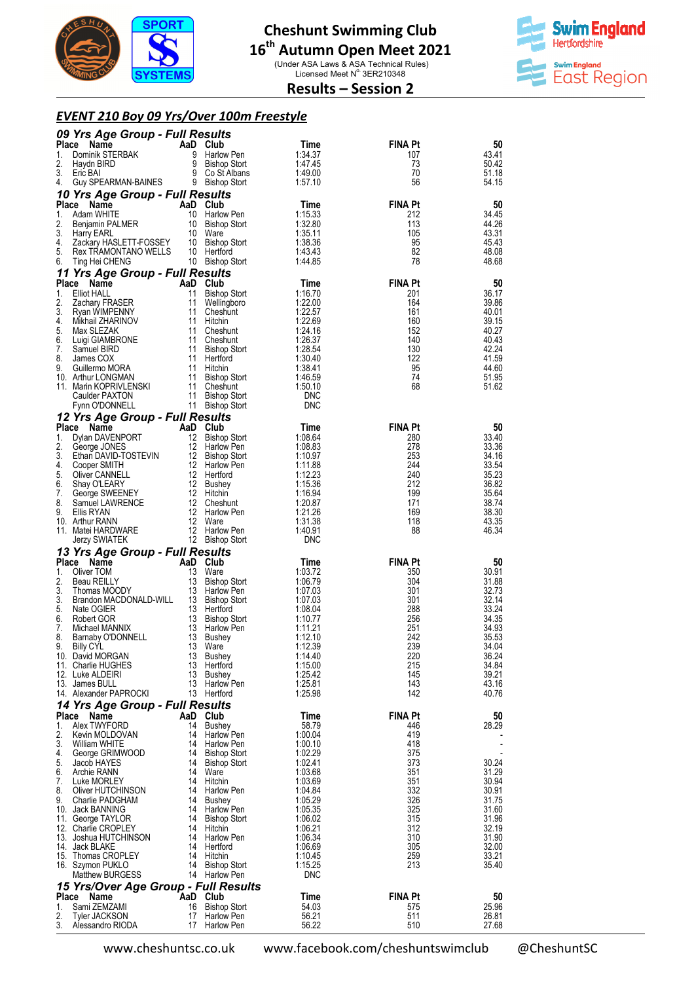

(Under ASA Laws & ASA Technical Rules)<br>Licensed Meet N° 3ER210348



### **Results – Session 2**

## *EVENT 210 Boy 09 Yrs/Over 100m Freestyle*

|                    | 09 Yrs Age Group - Full Results                                                                                                                                                                                                                                                                          |                |                                                                                                                                                                                                   |                       |                       |                |
|--------------------|----------------------------------------------------------------------------------------------------------------------------------------------------------------------------------------------------------------------------------------------------------------------------------------------------------|----------------|---------------------------------------------------------------------------------------------------------------------------------------------------------------------------------------------------|-----------------------|-----------------------|----------------|
| Place              | Ce Name<br>Dominik STERBAK<br>Uborth STERBAK<br>Uborth STERBAK<br>Uborth STERBAK                                                                                                                                                                                                                         |                | 9 Harlow Pen                                                                                                                                                                                      | Time<br>1:34.37       | <b>FINA Pt</b>        | 50<br>43.41    |
| 1.<br>2.           | Haydn BIRD                                                                                                                                                                                                                                                                                               |                |                                                                                                                                                                                                   | 1:47.45               | 107<br>73             | 50.42          |
| 3.                 | Eric BAI                                                                                                                                                                                                                                                                                                 |                | 9 Bisinop<br>9 Co St Albans<br>Dishan Stort                                                                                                                                                       | 1:49.00               | 70                    | 51.18          |
| 4.                 | Guy SPEARMAN-BAINES 9 Bishop Stort                                                                                                                                                                                                                                                                       |                |                                                                                                                                                                                                   | 1:57.10               | 56                    | 54.15          |
|                    | 10 Yrs Age Group - Full Results                                                                                                                                                                                                                                                                          |                |                                                                                                                                                                                                   |                       |                       |                |
| <b>Place</b><br>1. |                                                                                                                                                                                                                                                                                                          | AaD Club<br>10 | Harlow Pen                                                                                                                                                                                        | Time<br>1:15.33       | <b>FINA Pt</b><br>212 | 50<br>34.45    |
| 2.                 |                                                                                                                                                                                                                                                                                                          |                | 10 Bishop Stort                                                                                                                                                                                   | 1:32.80               | 113                   | 44.26          |
| 3.                 | <b>Harry EARL</b>                                                                                                                                                                                                                                                                                        | 10             | Ware                                                                                                                                                                                              | 1:35.11               | 105                   | 43.31          |
| 4.<br>5.           |                                                                                                                                                                                                                                                                                                          |                |                                                                                                                                                                                                   | 1:38.36<br>1:43.43    | 95<br>82              | 45.43<br>48.08 |
| 6.                 | Exaction HASLETT-FOSSEY<br>Rex TRAMONTANO WELLS<br>Ting Hei CHENG<br>Ting Hei CHENG<br>10 Bishop Stort                                                                                                                                                                                                   |                |                                                                                                                                                                                                   | 1:44.85               | 78                    | 48.68          |
|                    | 11 Yrs Age Group - Full Results                                                                                                                                                                                                                                                                          |                |                                                                                                                                                                                                   |                       |                       |                |
| Place              | Name                                                                                                                                                                                                                                                                                                     | AaD Club       |                                                                                                                                                                                                   | Time                  | <b>FINA Pt</b>        | 50             |
| 1.<br>2.           | <b>Elliot HALL</b><br>Zachary FRASER                                                                                                                                                                                                                                                                     | 11             | 11 Bishop Stort                                                                                                                                                                                   | 1:16.70<br>1:22.00    | 201<br>164            | 36.17<br>39.86 |
| 3.                 | Ryan WIMPENNY                                                                                                                                                                                                                                                                                            |                | Wellingboro<br>11 Cheshunt                                                                                                                                                                        | 1:22.57               | 161                   | 40.01          |
| 4.                 | Mikhail ZHARINOV                                                                                                                                                                                                                                                                                         |                | 11 Hitchin                                                                                                                                                                                        | 1:22.69               | 160                   | 39.15          |
| 5.<br>6.           | Max SLEZAK<br>Luigi GIAMBRONE                                                                                                                                                                                                                                                                            |                |                                                                                                                                                                                                   | 1:24.16<br>1:26.37    | 152<br>140            | 40.27<br>40.43 |
| 7.                 | Samuel BIRD                                                                                                                                                                                                                                                                                              |                |                                                                                                                                                                                                   | 1:28.54               | 130                   | 42.24          |
| 8.                 | James COX                                                                                                                                                                                                                                                                                                |                |                                                                                                                                                                                                   | 1:30.40               | 122                   | 41.59          |
| 9.                 | Guillermo MORA<br>10. Arthur LONGMAN                                                                                                                                                                                                                                                                     |                |                                                                                                                                                                                                   | 1:38.41<br>1:46.59    | 95<br>74              | 44.60<br>51.95 |
|                    | 11. Marin KOPRIVLENSKI                                                                                                                                                                                                                                                                                   |                |                                                                                                                                                                                                   | 1:50.10               | 68                    | 51.62          |
|                    | Caulder PAXTON                                                                                                                                                                                                                                                                                           |                |                                                                                                                                                                                                   | <b>DNC</b>            |                       |                |
|                    | Fynn O'DONNELL                                                                                                                                                                                                                                                                                           |                |                                                                                                                                                                                                   | <b>DNC</b>            |                       |                |
|                    | 12 Yrs Age Group - Full Results<br><b>The Age -</b><br><b>Solution DAVENPORT</b><br><b>Solution DAVENPORT</b><br>George JONES<br>Ethan DAVID-TOSTEVIN<br>Cooper SMITH<br>Cliver CANNELL 12 Harlow Political Stars (12 Bushey<br>The SWEENEY<br>The SWEENCE<br>12 Hitchin<br>12 Harlow<br>12 Harlow<br>12 |                | 11 University<br>11 Bishop Stone<br>11 Hitchin<br>11 Hitchin<br>11 Bishop Stort<br>11 Bishop Stort<br>11 Bishop Stort<br><b>41 Bishop Stort</b><br>11 Bishop Stort<br><b>41 Results</b><br>6 Club |                       |                       |                |
| 1.                 | Place Name<br><b>Ce Name</b><br><b>Chan DAVENPORT</b> 12 Bishop Stort<br>George JONES 12 Harlow Pen                                                                                                                                                                                                      |                |                                                                                                                                                                                                   | Time<br>1:08.64       | <b>FINA Pt</b><br>280 | 50<br>33.40    |
| 2.                 |                                                                                                                                                                                                                                                                                                          |                | 12 Harlow Pen                                                                                                                                                                                     | 1:08.83               | 278                   | 33.36          |
| 3.                 |                                                                                                                                                                                                                                                                                                          |                | 12 Bishop Stort                                                                                                                                                                                   | 1:10.97               | 253                   | 34.16          |
| 4.<br>5.           |                                                                                                                                                                                                                                                                                                          |                | 12 Harlow Pen                                                                                                                                                                                     | 1:11.88<br>1:12.23    | 244<br>240            | 33.54<br>35.23 |
| 6.                 |                                                                                                                                                                                                                                                                                                          |                |                                                                                                                                                                                                   | 1:15.36               | 212                   | 36.82          |
| 7.                 |                                                                                                                                                                                                                                                                                                          |                |                                                                                                                                                                                                   | 1:16.94               | 199                   | 35.64          |
| 8.<br>9.           |                                                                                                                                                                                                                                                                                                          |                | 12 Cheshunt<br>12 Harlow Pen                                                                                                                                                                      | 1:20.87<br>1:21.26    | 171<br>169            | 38.74<br>38.30 |
|                    | 10. Arthur RANN                                                                                                                                                                                                                                                                                          |                |                                                                                                                                                                                                   | 1:31.38               | 118                   | 43.35          |
|                    | 11. Matei HARDWARE                                                                                                                                                                                                                                                                                       |                | 12 Harlow Pen                                                                                                                                                                                     | 1:40.91               | 88                    | 46.34          |
|                    | Jerzy SWIATEK                                                                                                                                                                                                                                                                                            |                | 12 Bishop Stort                                                                                                                                                                                   | <b>DNC</b>            |                       |                |
| Place              | 13 Yrs Age Group - Full Results                                                                                                                                                                                                                                                                          |                |                                                                                                                                                                                                   | Time                  | <b>FINA Pt</b>        | 50             |
| 1.                 | Ce Name AaD Club<br>Oliver TOM 13 Ware<br>Beau REILLY 13 Bishop<br>Thomas MOODY 13 Harlow<br>Prodes MACDY 13 Harlow                                                                                                                                                                                      |                |                                                                                                                                                                                                   | 1:03.72               | 350                   | 30.91          |
| 2.                 |                                                                                                                                                                                                                                                                                                          |                | 13 Bishop Stort                                                                                                                                                                                   | 1:06.79               | 304                   | 31.88          |
| 3.<br>3.           | Brandon MACDONALD-WILL 13 Bishop Stort                                                                                                                                                                                                                                                                   |                | 13 Harlow Pen                                                                                                                                                                                     | 1:07.03<br>1:07.03    | 301<br>301            | 32.73<br>32.14 |
| 5.                 |                                                                                                                                                                                                                                                                                                          |                | 13 Hertford                                                                                                                                                                                       | 1:08.04               | 288                   | 33.24          |
| 6.                 |                                                                                                                                                                                                                                                                                                          |                | 13 Bishop Stort                                                                                                                                                                                   | 1:10.77               | 256                   | 34.35          |
| 7.<br>8.           | ivate UGIER<br>Robert GOR<br>Michael MANNIX<br>Barnshy OR CURS                                                                                                                                                                                                                                           |                | 13 Harlow Pen<br>13 Bushey                                                                                                                                                                        | 1:11.21<br>1:12.10    | 251<br>242            | 34.93<br>35.53 |
| 9.                 | Barnaby O'DONNELL<br><b>Billy CYL</b>                                                                                                                                                                                                                                                                    |                | 13 Ware                                                                                                                                                                                           | 1:12.39               | 239                   | 34.04          |
|                    | 10. David MORGAN                                                                                                                                                                                                                                                                                         | 13             | Bushey                                                                                                                                                                                            | 1:14.40               | 220                   | 36.24          |
|                    | 11. Charlie HUGHES<br>12. Luke ALDEIRI                                                                                                                                                                                                                                                                   | 13<br>13       | Hertford<br>Bushey                                                                                                                                                                                | 1:15.00<br>1:25.42    | 215<br>145            | 34.84<br>39.21 |
|                    | 13. James BULL                                                                                                                                                                                                                                                                                           | 13             | Harlow Pen                                                                                                                                                                                        | 1:25.81               | 143                   | 43.16          |
|                    | 14. Alexander PAPROCKI                                                                                                                                                                                                                                                                                   |                | 13 Hertford                                                                                                                                                                                       | 1:25.98               | 142                   | 40.76          |
|                    | 14 Yrs Age Group - Full Results                                                                                                                                                                                                                                                                          |                |                                                                                                                                                                                                   |                       |                       |                |
| Place<br>1.        | Name<br>Alex TWYFORD                                                                                                                                                                                                                                                                                     | AaD Club<br>14 | <b>Bushey</b>                                                                                                                                                                                     | Time<br>58.79         | <b>FINA Pt</b><br>446 | 50<br>28.29    |
| 2.                 | Kevin MOLDOVAN                                                                                                                                                                                                                                                                                           | 14             | Harlow Pen                                                                                                                                                                                        | 1:00.04               | 419                   |                |
| 3.                 | <b>William WHITE</b>                                                                                                                                                                                                                                                                                     | 14             | <b>Harlow Pen</b>                                                                                                                                                                                 | 1:00.10               | 418                   |                |
| 4.<br>5.           | George GRIMWOOD<br>Jacob HAYES                                                                                                                                                                                                                                                                           | 14<br>14       | Bishop Stort<br>Bishop Stort                                                                                                                                                                      | 1:02.29<br>1:02.41    | 375<br>373            | 30.24          |
| 6.                 | Archie RANN                                                                                                                                                                                                                                                                                              | 14             | Ware                                                                                                                                                                                              | 1:03.68               | 351                   | 31.29          |
| 7.                 | Luke MORLEY                                                                                                                                                                                                                                                                                              | 14             | Hitchin                                                                                                                                                                                           | 1:03.69               | 351                   | 30.94          |
| 8.<br>9.           | Oliver HUTCHINSON<br>Charlie PADGHAM                                                                                                                                                                                                                                                                     | 14             | Harlow Pen<br>14 Bushey                                                                                                                                                                           | 1:04.84<br>1:05.29    | 332<br>326            | 30.91<br>31.75 |
|                    | 10. Jack BANNING                                                                                                                                                                                                                                                                                         | 14             | Harlow Pen                                                                                                                                                                                        | 1:05.35               | 325                   | 31.60          |
|                    | 11. George TAYLOR                                                                                                                                                                                                                                                                                        | 14             | Bishop Stort                                                                                                                                                                                      | 1:06.02               | 315                   | 31.96          |
|                    | 12. Charlie CROPLEY<br>13. Joshua HUTCHINSON                                                                                                                                                                                                                                                             | 14<br>14       | Hitchin<br>Harlow Pen                                                                                                                                                                             | 1:06.21<br>1:06.34    | 312<br>310            | 32.19<br>31.90 |
|                    | 14. Jack BLAKE                                                                                                                                                                                                                                                                                           | 14             | Hertford                                                                                                                                                                                          | 1:06.69               | 305                   | 32.00          |
|                    | 15. Thomas CROPLEY                                                                                                                                                                                                                                                                                       | 14             | Hitchin                                                                                                                                                                                           | 1:10.45               | 259                   | 33.21          |
|                    | 16. Szymon PUKLO<br><b>Matthew BURGESS</b>                                                                                                                                                                                                                                                               | 14             | <b>Bishop Stort</b><br>14 Harlow Pen                                                                                                                                                              | 1:15.25<br><b>DNC</b> | 213                   | 35.40          |
|                    | 15 Yrs/Over Age Group - Full Results                                                                                                                                                                                                                                                                     |                |                                                                                                                                                                                                   |                       |                       |                |
| Place              | Name                                                                                                                                                                                                                                                                                                     | AaD Club       |                                                                                                                                                                                                   | Time                  | <b>FINA Pt</b>        | 50             |
| 1.                 | Sami ZEMZAMI                                                                                                                                                                                                                                                                                             | 16             | <b>Bishop Stort</b>                                                                                                                                                                               | 54.03                 | 575                   | 25.96          |
| 2.<br>3.           | <b>Tyler JACKSON</b><br>Alessandro RIODA                                                                                                                                                                                                                                                                 | 17<br>17       | <b>Harlow Pen</b><br><b>Harlow Pen</b>                                                                                                                                                            | 56.21<br>56.22        | 511<br>510            | 26.81<br>27.68 |
|                    |                                                                                                                                                                                                                                                                                                          |                |                                                                                                                                                                                                   |                       |                       |                |